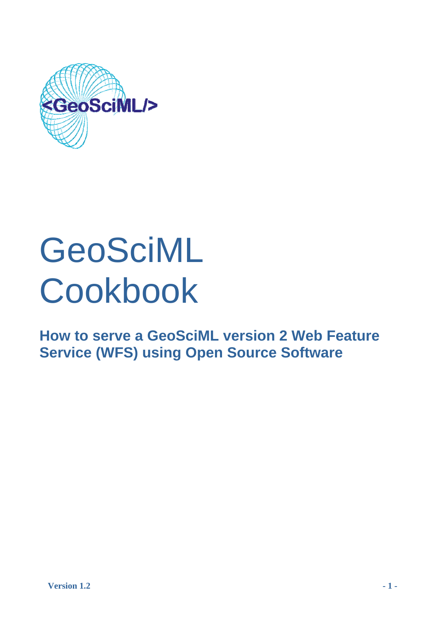

# GeoSciML Cookbook

**How to serve a GeoSciML version 2 Web Feature Service (WFS) using Open Source Software**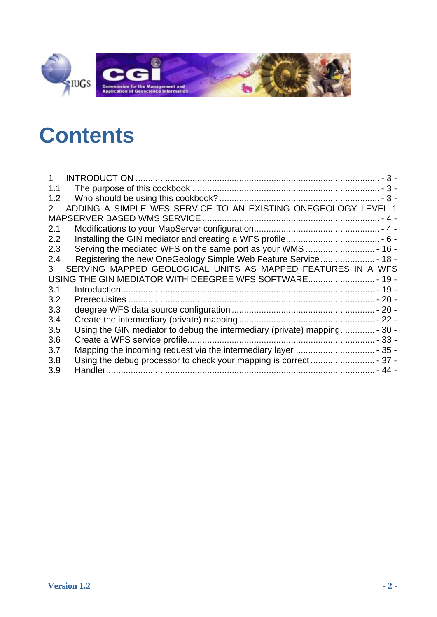

# **C [ontents](#page-2-0)**

| 1.1         |                                                                           |
|-------------|---------------------------------------------------------------------------|
| 1.2         |                                                                           |
| $2^{\circ}$ | ADDING A SIMPLE WFS SERVICE TO AN EXISTING ONEGEOLOGY LEVEL 1             |
|             |                                                                           |
| 2.1         |                                                                           |
| 2.2         |                                                                           |
| 2.3         |                                                                           |
| 2.4         |                                                                           |
| 3           | SERVING MAPPED GEOLOGICAL UNITS AS MAPPED FEATURES IN A WFS               |
|             | USING THE GIN MEDIATOR WITH DEEGREE WFS SOFTWARE - 19 -                   |
| 3.1         |                                                                           |
| 3.2         |                                                                           |
| 3.3         |                                                                           |
| 3.4         |                                                                           |
| 3.5         | Using the GIN mediator to debug the intermediary (private) mapping - 30 - |
| 3.6         |                                                                           |
| 3.7         |                                                                           |
| 3.8         |                                                                           |
| 3.9         |                                                                           |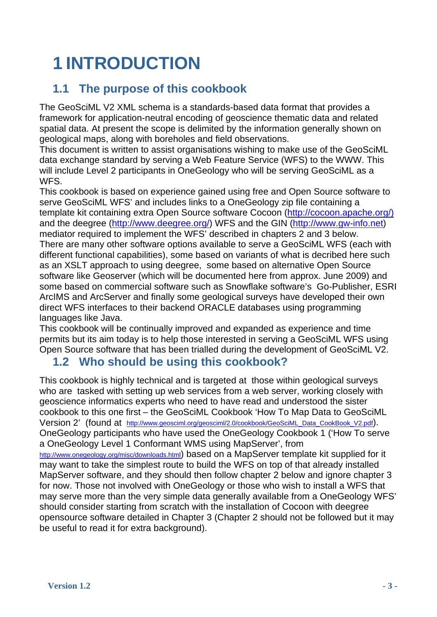# <span id="page-2-0"></span>**1 INTRODUCTION**

### **1.1 The purpose of this cookbook**

The GeoSciML V2 XML schema is a standards-based data format that provides a framework for application-neutral encoding of geoscience thematic data and related spatial data. At present the scope is delimited by the information generally shown on geological maps, along with boreholes and field observations.

This document is written to assist organisations wishing to make use of the GeoSciML data exchange standard by serving a Web Feature Service (WFS) to the WWW. This will include Level 2 participants in OneGeology who will be serving GeoSciML as a WFS.

This cookbook is based on experience gained using free and Open Source software to serve GeoSciML WFS' and includes links to a OneGeology zip file containing a template kit containing extra Open Source software Cocoon ([http://cocoon.apache.org/\)](http://cocoon.apache.org/) and the deegree (<http://www.deegree.org/>) WFS and the GIN [\(http://www.gw-info.net](http://gin-ries.nrcan-rncan.gc.ca/Home.aspx?c=2)) mediator required to implement the WFS' described in chapters 2 and 3 below. There are many other software options available to serve a GeoSciML WFS (each with different functional capabilities), some based on variants of what is decribed here such as an XSLT approach to using deegree, some based on alternative Open Source software like Geoserver (which will be documented here from approx. June 2009) and some based on commercial software such as Snowflake software's Go-Publisher, ESRI ArcIMS and ArcServer and finally some geological surveys have developed their own direct WFS interfaces to their backend ORACLE databases using programming languages like Java.

This cookbook will be continually improved and expanded as experience and time permits but its aim today is to help those interested in serving a GeoSciML WFS using Open Source software that has been trialled during the development of GeoSciML V2.

### **1.2 Who should be using this cookbook?**

This cookbook is highly technical and is targeted at those within geological surveys who are tasked with setting up web services from a web server, working closely with geoscience informatics experts who need to have read and understood the sister cookbook to this one first – the GeoSciML Cookbook 'How To Map Data to GeoSciML Version 2' (found at [http://www.geosciml.org/geosciml/2.0/cookbook/GeoSciML\\_Data\\_CookBook\\_V2.pdf](http://www.geosciml.org/geosciml/2.0/cookbook/GeoSciML_Data_CookBook_V2.pdf)). OneGeology participants who have used the OneGeology Cookbook 1 ('How To serve a OneGeology Level 1 Conformant WMS using MapServer', from <http://www.onegeology.org/misc/downloads.html>) based on a MapServer template kit supplied for it may want to take the simplest route to build the WFS on top of that already installed MapServer software, and they should then follow chapter 2 below and ignore chapter 3 for now. Those not involved with OneGeology or those who wish to install a WFS that may serve more than the very simple data generally available from a OneGeology WFS' should consider starting from scratch with the installation of Cocoon with deegree

opensource software detailed in Chapter 3 (Chapter 2 should not be followed but it may be useful to read it for extra background).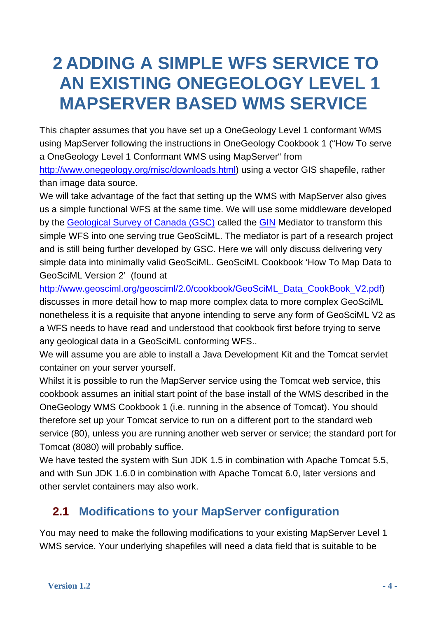## <span id="page-3-0"></span>**2 ADDING A SIMPLE WFS SERVICE TO AN EXISTING ONEGEOLOGY LEVEL 1 MAPSERVER BASED WMS SERVICE**

This chapter assumes that you have set up a OneGeology Level 1 conformant WMS using MapServer following the instructions in OneGeology Cookbook 1 ("How To serve a OneGeology Level 1 Conformant WMS using MapServer" from <http://www.onegeology.org/misc/downloads.html>) using a vector GIS shapefile, rather than image data source.

We will take advantage of the fact that setting up the WMS with MapServer also gives us a simple functional WFS at the same time. We will use some middleware developed by the [Geological Survey of Canada \(GSC\)](http://gsc.nrcan.gc.ca/index_e.php) called the [GIN](http://gin-ries.nrcan-rncan.gc.ca/Home.aspx?c=1) Mediator to transform this simple WFS into one serving true GeoSciML. The mediator is part of a research project and is still being further developed by GSC. Here we will only discuss delivering very simple data into minimally valid GeoSciML. GeoSciML Cookbook 'How To Map Data to GeoSciML Version 2' (found at

[http://www.geosciml.org/geosciml/2.0/cookbook/GeoSciML\\_Data\\_CookBook\\_V2.pdf](http://www.geosciml.org/geosciml/2.0/cookbook/GeoSciML_Data_CookBook_V2.pdf)) discusses in more detail how to map more complex data to more complex GeoSciML nonetheless it is a requisite that anyone intending to serve any form of GeoSciML V2 as a WFS needs to have read and understood that cookbook first before trying to serve any geological data in a GeoSciML conforming WFS..

We will assume you are able to install a Java Development Kit and the Tomcat servlet container on your server yourself.

Whilst it is possible to run the MapServer service using the Tomcat web service, this cookbook assumes an initial start point of the base install of the WMS described in the OneGeology WMS Cookbook 1 (i.e. running in the absence of Tomcat). You should therefore set up your Tomcat service to run on a different port to the standard web service (80), unless you are running another web server or service; the standard port for Tomcat (8080) will probably suffice.

We have tested the system with Sun JDK 1.5 in combination with Apache Tomcat 5.5, and with Sun JDK 1.6.0 in combination with Apache Tomcat 6.0, later versions and other servlet containers may also work.

### **2.1 Modifications to your MapServer configuration**

<span id="page-3-1"></span>You may need to make the following modifications to your existing MapServer Level 1 WMS service. Your underlying shapefiles will need a data field that is suitable to be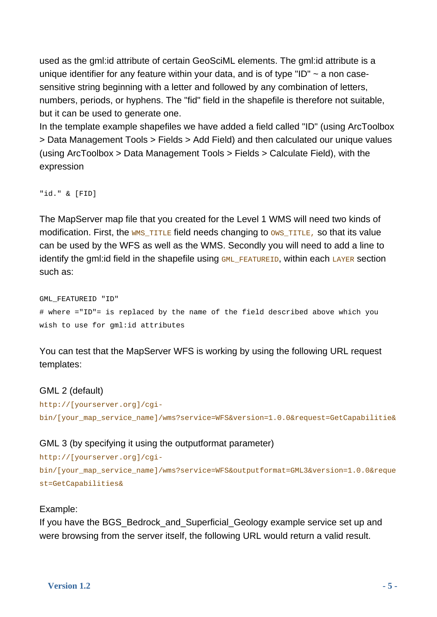used as the gml:id attribute of certain GeoSciML elements. The gml:id attribute is a unique identifier for any feature within your data, and is of type "ID"  $\sim$  a non casesensitive string beginning with a letter and followed by any combination of letters, numbers, periods, or hyphens. The "fid" field in the shapefile is therefore not suitable, but it can be used to generate one.

In the template example shapefiles we have added a field called "ID" (using ArcToolbox > Data Management Tools > Fields > Add Field) and then calculated our unique values (using ArcToolbox > Data Management Tools > Fields > Calculate Field), with the expression

"id." & [FID]

The MapServer map file that you created for the Level 1 WMS will need two kinds of modification. First, the  $WMS$  TITLE field needs changing to  $OWS$  TITLE, so that its value can be used by the WFS as well as the WMS. Secondly you will need to add a line to identify the gml: id field in the shapefile using  $GML$  FEATUREID, within each LAYER section such as:

GML\_FEATUREID "ID" # where ="ID"= is replaced by the name of the field described above which you wish to use for gml:id attributes

You can test that the MapServer WFS is working by using the following URL request templates:

### GML 2 (default)

```
http://[yourserver.org]/cgi-
bin/[your_map_service_name]/wms?service=WFS&version=1.0.0&request=GetCapabilitie&
```
### GML 3 (by specifying it using the outputformat parameter)

```
http://[yourserver.org]/cgi-
bin/[your_map_service_name]/wms?service=WFS&outputformat=GML3&version=1.0.0&reque
st=GetCapabilities&
```
### Example:

If you have the BGS\_Bedrock\_and\_Superficial\_Geology example service set up and were browsing from the server itself, the following URL would return a valid result.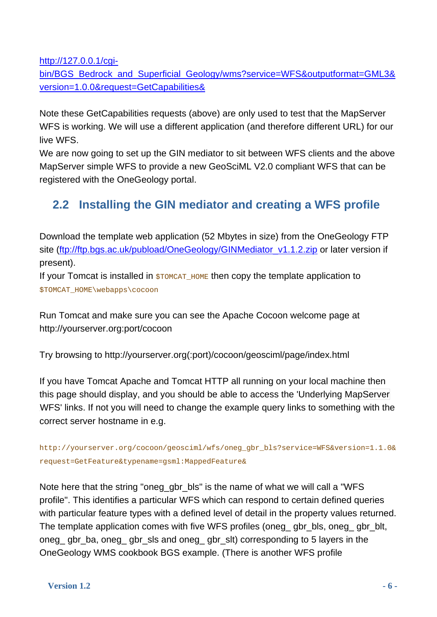[http://127.0.0.1/cgi-](http://127.0.0.1/cgi-bin/BGS_Bedrock_and_Superficial_Geology/wms?service=WFS&outputformat=GML3&version=1.0.0&request=GetCapabilities&)

[bin/BGS\\_Bedrock\\_and\\_Superficial\\_Geology/wms?service=WFS&outputformat=GML3&](http://127.0.0.1/cgi-bin/BGS_Bedrock_and_Superficial_Geology/wms?service=WFS&outputformat=GML3&version=1.0.0&request=GetCapabilities&) [version=1.0.0&request=GetCapabilities&](http://127.0.0.1/cgi-bin/BGS_Bedrock_and_Superficial_Geology/wms?service=WFS&outputformat=GML3&version=1.0.0&request=GetCapabilities&) 

Note these GetCapabilities requests (above) are only used to test that the MapServer WFS is working. We will use a different application (and therefore different URL) for our live WFS.

We are now going to set up the GIN mediator to sit between WFS clients and the above MapServer simple WFS to provide a new GeoSciML V2.0 compliant WFS that can be registered with the OneGeology portal.

### **2.2 Installing the GIN mediator and creating a WFS profile**

<span id="page-5-0"></span>Download the template web application (52 Mbytes in size) from the OneGeology FTP site ([ftp://ftp.bgs.ac.uk/pubload/OneGeology/GINMediator\\_v1.1.2.zip](ftp://ftp.bgs.ac.uk/pubload/OneGeology/GINMediator_v1.1.2.zip) or later version if present).

If your Tomcat is installed in  $$TOMCAT_HOME$  then copy the template application to \$TOMCAT\_HOME\webapps\cocoon

Run Tomcat and make sure you can see the Apache Cocoon welcome page at http://yourserver.org:port/cocoon

Try browsing to http://yourserver.org(:port)/cocoon/geosciml/page/index.html

If you have Tomcat Apache and Tomcat HTTP all running on your local machine then this page should display, and you should be able to access the 'Underlying MapServer WFS' links. If not you will need to change the example query links to something with the correct server hostname in e.g.

```
http://yourserver.org/cocoon/geosciml/wfs/oneg_gbr_bls?service=WFS&version=1.1.0&
request=GetFeature&typename=gsml:MappedFeature&
```
Note here that the string "oneg gbr bls" is the name of what we will call a "WFS" profile". This identifies a particular WFS which can respond to certain defined queries with particular feature types with a defined level of detail in the property values returned. The template application comes with five WFS profiles (oneg gbr bls, oneg gbr blt, oneg\_ gbr\_ba, oneg\_ gbr\_sls and oneg\_ gbr\_slt) corresponding to 5 layers in the OneGeology WMS cookbook BGS example. (There is another WFS profile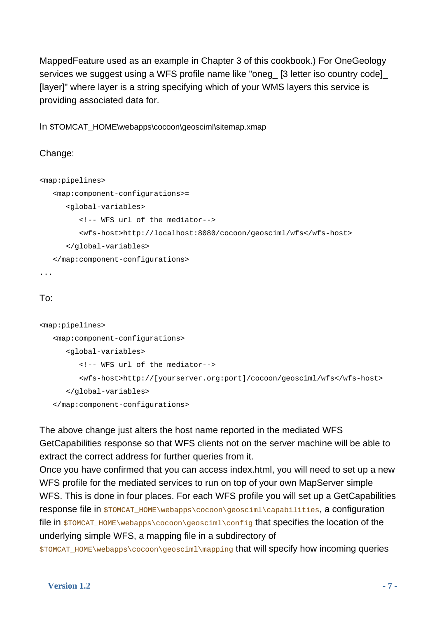MappedFeature used as an example in Chapter 3 of this cookbook.) For OneGeology services we suggest using a WFS profile name like "oneg\_ [3 letter iso country code]\_ [layer]" where layer is a string specifying which of your WMS layers this service is providing associated data for.

In \$TOMCAT\_HOME\webapps\cocoon\geosciml\sitemap.xmap

```
Change:
```

```
<map:pipelines> 
    <map:component-configurations>= 
       <global-variables> 
          <!-- WFS url of the mediator--> 
          <wfs-host>http://localhost:8080/cocoon/geosciml/wfs</wfs-host> 
       </global-variables> 
    </map:component-configurations>
```
...

### To:

```
<map:pipelines> 
    <map:component-configurations> 
       <global-variables> 
          <!-- WFS url of the mediator--> 
          <wfs-host>http://[yourserver.org:port]/cocoon/geosciml/wfs</wfs-host> 
       </global-variables> 
    </map:component-configurations>
```
The above change just alters the host name reported in the mediated WFS GetCapabilities response so that WFS clients not on the server machine will be able to extract the correct address for further queries from it.

Once you have confirmed that you can access index.html, you will need to set up a new WFS profile for the mediated services to run on top of your own MapServer simple WFS. This is done in four places. For each WFS profile you will set up a GetCapabilities response file in \$TOMCAT\_HOME\webapps\cocoon\geosciml\capabilities, a configuration file in \$TOMCAT\_HOME\webapps\cocoon\geosciml\config that specifies the location of the underlying simple WFS, a mapping file in a subdirectory of

\$TOMCAT\_HOME\webapps\cocoon\geosciml\mapping that will specify how incoming queries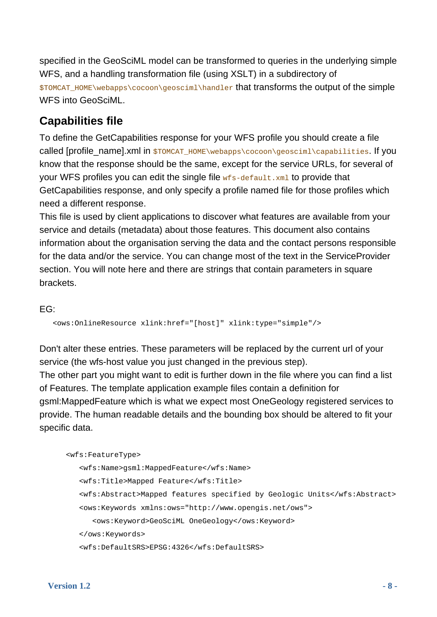specified in the GeoSciML model can be transformed to queries in the underlying simple WFS, and a handling transformation file (using XSLT) in a subdirectory of \$TOMCAT\_HOME\webapps\cocoon\geosciml\handler that transforms the output of the simple WFS into GeoSciML.

### **Capabilities file**

To define the GetCapabilities response for your WFS profile you should create a file called [profile\_name].xml in \$TOMCAT\_HOME\webapps\cocoon\geosciml\capabilities. If you know that the response should be the same, except for the service URLs, for several of your WFS profiles you can edit the single file  $wfs$ -default. $xml$  to provide that GetCapabilities response, and only specify a profile named file for those profiles which need a different response.

This file is used by client applications to discover what features are available from your service and details (metadata) about those features. This document also contains information about the organisation serving the data and the contact persons responsible for the data and/or the service. You can change most of the text in the ServiceProvider section. You will note here and there are strings that contain parameters in square brackets.

EG:

<ows:OnlineResource xlink:href="[host]" xlink:type="simple"/>

Don't alter these entries. These parameters will be replaced by the current url of your service (the wfs-host value you just changed in the previous step).

The other part you might want to edit is further down in the file where you can find a list of Features. The template application example files contain a definition for gsml:MappedFeature which is what we expect most OneGeology registered services to provide. The human readable details and the bounding box should be altered to fit your specific data.

```
 <wfs:FeatureType> 
    <wfs:Name>gsml:MappedFeature</wfs:Name> 
    <wfs:Title>Mapped Feature</wfs:Title> 
    <wfs:Abstract>Mapped features specified by Geologic Units</wfs:Abstract> 
    <ows:Keywords xmlns:ows="http://www.opengis.net/ows"> 
       <ows:Keyword>GeoSciML OneGeology</ows:Keyword> 
    </ows:Keywords> 
    <wfs:DefaultSRS>EPSG:4326</wfs:DefaultSRS>
```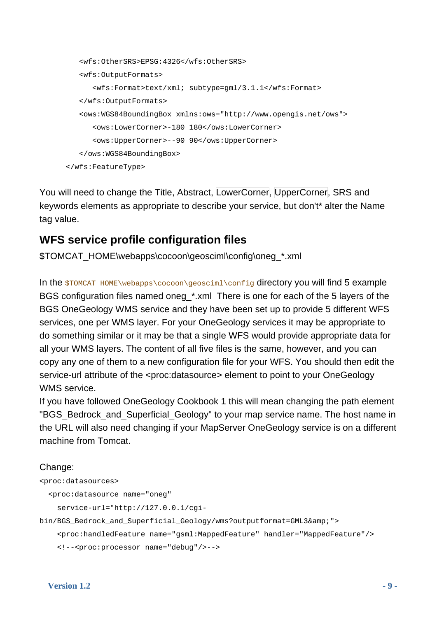```
 <wfs:OtherSRS>EPSG:4326</wfs:OtherSRS> 
    <wfs:OutputFormats> 
       <wfs:Format>text/xml; subtype=gml/3.1.1</wfs:Format> 
    </wfs:OutputFormats> 
    <ows:WGS84BoundingBox xmlns:ows="http://www.opengis.net/ows"> 
       <ows:LowerCorner>-180 180</ows:LowerCorner> 
       <ows:UpperCorner>--90 90</ows:UpperCorner> 
    </ows:WGS84BoundingBox> 
 </wfs:FeatureType>
```
You will need to change the Title, Abstract, LowerCorner, UpperCorner, SRS and keywords elements as appropriate to describe your service, but don't\* alter the Name tag value.

### **WFS service profile configuration files**

\$TOMCAT\_HOME\webapps\cocoon\geosciml\config\oneg\_\*.xml

In the \$TOMCAT\_HOME\webapps\cocoon\geosciml\config directory you will find 5 example BGS configuration files named oneg \*.xml There is one for each of the 5 layers of the BGS OneGeology WMS service and they have been set up to provide 5 different WFS services, one per WMS layer. For your OneGeology services it may be appropriate to do something similar or it may be that a single WFS would provide appropriate data for all your WMS layers. The content of all five files is the same, however, and you can copy any one of them to a new configuration file for your WFS. You should then edit the service-url attribute of the <proc:datasource> element to point to your OneGeology WMS service.

If you have followed OneGeology Cookbook 1 this will mean changing the path element "BGS\_Bedrock\_and\_Superficial\_Geology" to your map service name. The host name in the URL will also need changing if your MapServer OneGeology service is on a different machine from Tomcat.

### Change:

```
<proc:datasources>
```

```
 <proc:datasource name="oneg"
```

```
 service-url="http://127.0.0.1/cgi-
```
bin/BGS Bedrock and Superficial Geology/wms?outputformat=GML3&">

```
 <proc:handledFeature name="gsml:MappedFeature" handler="MappedFeature"/>
```

```
 <!--<proc:processor name="debug"/>-->
```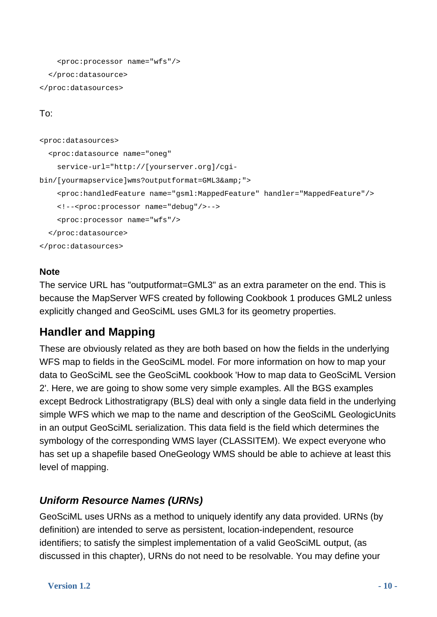```
 <proc:processor name="wfs"/> 
   </proc:datasource> 
</proc:datasources>
```
### To:

```
<proc:datasources> 
   <proc:datasource name="oneg" 
     service-url="http://[yourserver.org]/cgi-
bin/[yourmapservice]wms?outputformat=GML3&">
     <proc:handledFeature name="gsml:MappedFeature" handler="MappedFeature"/> 
     <!--<proc:processor name="debug"/>--> 
     <proc:processor name="wfs"/> 
   </proc:datasource> 
</proc:datasources>
```
### **Note**

The service URL has "outputformat=GML3" as an extra parameter on the end. This is because the MapServer WFS created by following Cookbook 1 produces GML2 unless explicitly changed and GeoSciML uses GML3 for its geometry properties.

### **Handler and Mapping**

These are obviously related as they are both based on how the fields in the underlying WFS map to fields in the GeoSciML model. For more information on how to map your data to GeoSciML see the GeoSciML cookbook 'How to map data to GeoSciML Version 2'. Here, we are going to show some very simple examples. All the BGS examples except Bedrock Lithostratigrapy (BLS) deal with only a single data field in the underlying simple WFS which we map to the name and description of the GeoSciML GeologicUnits in an output GeoSciML serialization. This data field is the field which determines the symbology of the corresponding WMS layer (CLASSITEM). We expect everyone who has set up a shapefile based OneGeology WMS should be able to achieve at least this level of mapping.

### *Uniform Resource Names (URNs)*

GeoSciML uses URNs as a method to uniquely identify any data provided. URNs (by definition) are intended to serve as persistent, location-independent, resource identifiers; to satisfy the simplest implementation of a valid GeoSciML output, (as discussed in this chapter), URNs do not need to be resolvable. You may define your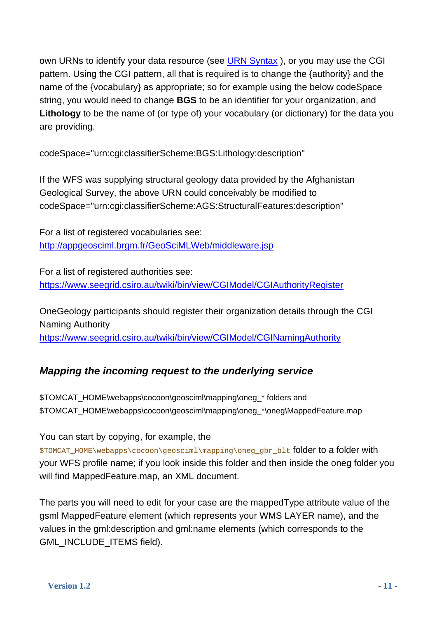own URNs to identify your data resource (see [URN Syntax](http://tools.ietf.org/html/rfc2141)), or you may use the CGI pattern. Using the CGI pattern, all that is required is to change the {authority} and the name of the {vocabulary} as appropriate; so for example using the below codeSpace string, you would need to change **BGS** to be an identifier for your organization, and **Lithology** to be the name of (or type of) your vocabulary (or dictionary) for the data you are providing.

codeSpace="urn:cgi:classifierScheme:BGS:Lithology:description"

If the WFS was supplying structural geology data provided by the Afghanistan Geological Survey, the above URN could conceivably be modified to codeSpace="urn:cgi:classifierScheme:AGS:StructuralFeatures:description"

For a list of registered vocabularies see: <http://appgeosciml.brgm.fr/GeoSciMLWeb/middleware.jsp>

For a list of registered authorities see: <https://www.seegrid.csiro.au/twiki/bin/view/CGIModel/CGIAuthorityRegister>

OneGeology participants should register their organization details through the CGI Naming Authority <https://www.seegrid.csiro.au/twiki/bin/view/CGIModel/CGINamingAuthority>

### *Mapping the incoming request to the underlying service*

\$TOMCAT\_HOME\webapps\cocoon\geosciml\mapping\oneg\_\* folders and \$TOMCAT\_HOME\webapps\cocoon\geosciml\mapping\oneg\_\*\oneg\MappedFeature.map

You can start by copying, for example, the

\$TOMCAT\_HOME\webapps\cocoon\geosciml\mapping\oneg\_gbr\_blt folder to a folder with your WFS profile name; if you look inside this folder and then inside the oneg folder you will find MappedFeature.map, an XML document.

The parts you will need to edit for your case are the mappedType attribute value of the gsml MappedFeature element (which represents your WMS LAYER name), and the values in the gml:description and gml:name elements (which corresponds to the GML\_INCLUDE\_ITEMS field).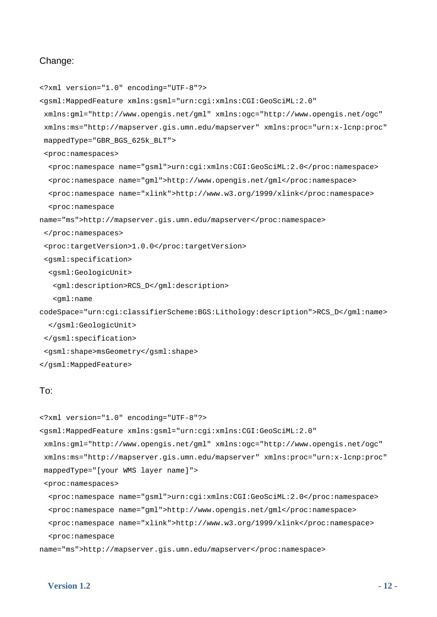#### Change:

```
<?xml version="1.0" encoding="UTF-8"?> 
<gsml:MappedFeature xmlns:gsml="urn:cgi:xmlns:CGI:GeoSciML:2.0" 
  xmlns:gml="http://www.opengis.net/gml" xmlns:ogc="http://www.opengis.net/ogc" 
  xmlns:ms="http://mapserver.gis.umn.edu/mapserver" xmlns:proc="urn:x-lcnp:proc" 
  mappedType="GBR_BGS_625k_BLT"> 
  <proc:namespaces> 
   <proc:namespace name="gsml">urn:cgi:xmlns:CGI:GeoSciML:2.0</proc:namespace> 
   <proc:namespace name="gml">http://www.opengis.net/gml</proc:namespace> 
   <proc:namespace name="xlink">http://www.w3.org/1999/xlink</proc:namespace> 
   <proc:namespace 
name="ms">http://mapserver.gis.umn.edu/mapserver</proc:namespace> 
  </proc:namespaces> 
  <proc:targetVersion>1.0.0</proc:targetVersion> 
  <gsml:specification> 
   <gsml:GeologicUnit> 
    <gml:description>RCS_D</gml:description> 
    <gml:name 
codeSpace="urn:cgi:classifierScheme:BGS:Lithology:description">RCS_D</gml:name> 
   </gsml:GeologicUnit> 
  </gsml:specification> 
  <gsml:shape>msGeometry</gsml:shape> 
</gsml:MappedFeature> 
To:
```

```
<?xml version="1.0" encoding="UTF-8"?> 
<gsml:MappedFeature xmlns:gsml="urn:cgi:xmlns:CGI:GeoSciML:2.0" 
  xmlns:gml="http://www.opengis.net/gml" xmlns:ogc="http://www.opengis.net/ogc" 
  xmlns:ms="http://mapserver.gis.umn.edu/mapserver" xmlns:proc="urn:x-lcnp:proc" 
  mappedType="[your WMS layer name]"> 
  <proc:namespaces> 
   <proc:namespace name="gsml">urn:cgi:xmlns:CGI:GeoSciML:2.0</proc:namespace> 
   <proc:namespace name="gml">http://www.opengis.net/gml</proc:namespace> 
   <proc:namespace name="xlink">http://www.w3.org/1999/xlink</proc:namespace> 
   <proc:namespace 
name="ms">http://mapserver.gis.umn.edu/mapserver</proc:namespace>
```
#### **Version 1.2** - 12 -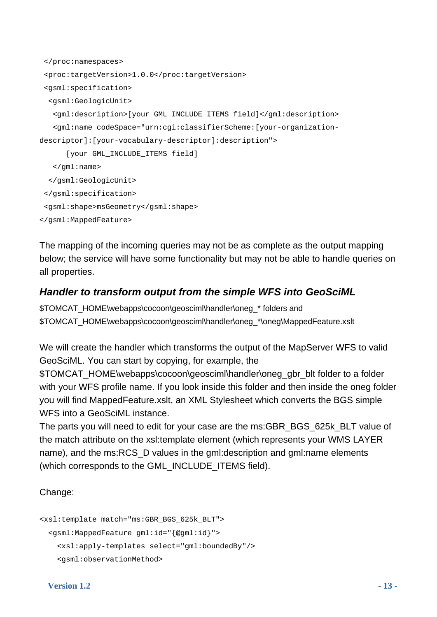```
 </proc:namespaces> 
  <proc:targetVersion>1.0.0</proc:targetVersion> 
  <gsml:specification> 
   <gsml:GeologicUnit> 
    <gml:description>[your GML_INCLUDE_ITEMS field]</gml:description> 
    <gml:name codeSpace="urn:cgi:classifierScheme:[your-organization-
descriptor]:[your-vocabulary-descriptor]:description"> 
       [your GML_INCLUDE_ITEMS field] 
    </gml:name> 
   </gsml:GeologicUnit> 
  </gsml:specification> 
  <gsml:shape>msGeometry</gsml:shape> 
</gsml:MappedFeature>
```
The mapping of the incoming queries may not be as complete as the output mapping below; the service will have some functionality but may not be able to handle queries on all properties.

### *Handler to transform output from the simple WFS into GeoSciML*

\$TOMCAT\_HOME\webapps\cocoon\geosciml\handler\oneg\_\* folders and \$TOMCAT\_HOME\webapps\cocoon\geosciml\handler\oneg\_\*\oneg\MappedFeature.xslt

We will create the handler which transforms the output of the MapServer WFS to valid GeoSciML. You can start by copying, for example, the

\$TOMCAT\_HOME\webapps\cocoon\geosciml\handler\oneg\_gbr\_blt folder to a folder with your WFS profile name. If you look inside this folder and then inside the oneg folder you will find MappedFeature.xslt, an XML Stylesheet which converts the BGS simple WFS into a GeoSciML instance.

The parts you will need to edit for your case are the ms:GBR\_BGS\_625k\_BLT value of the match attribute on the xsl:template element (which represents your WMS LAYER name), and the ms:RCS\_D values in the gml:description and gml:name elements (which corresponds to the GML\_INCLUDE\_ITEMS field).

### Change:

```
<xsl:template match="ms:GBR_BGS_625k_BLT"> 
   <gsml:MappedFeature gml:id="{@gml:id}"> 
     <xsl:apply-templates select="gml:boundedBy"/> 
     <gsml:observationMethod>
```
### **Version 1.2** - 13 -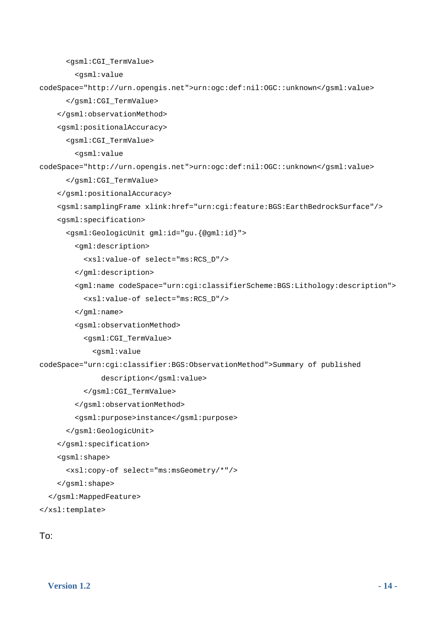```
 <gsml:CGI_TermValue>
```
<gsml:value

```
codeSpace="http://urn.opengis.net">urn:ogc:def:nil:OGC::unknown</gsml:value>
```
</gsml:CGI\_TermValue>

</gsml:observationMethod>

<gsml:positionalAccuracy>

<gsml:CGI\_TermValue>

```
 <gsml:value
```
codeSpace="http://urn.opengis.net">urn:ogc:def:nil:OGC::unknown</gsml:value>

</gsml:CGI\_TermValue>

</gsml:positionalAccuracy>

```
 <gsml:samplingFrame xlink:href="urn:cgi:feature:BGS:EarthBedrockSurface"/>
```
<gsml:specification>

```
 <gsml:GeologicUnit gml:id="gu.{@gml:id}">
```
<gml:description>

<xsl:value-of select="ms:RCS\_D"/>

</gml:description>

 <gml:name codeSpace="urn:cgi:classifierScheme:BGS:Lithology:description"> <xsl:value-of select="ms:RCS\_D"/>

```
 </gml:name>
```

```
 <gsml:observationMethod>
```
<gsml:CGI\_TermValue>

```
 <gsml:value
```
codeSpace="urn:cgi:classifier:BGS:ObservationMethod">Summary of published

description</gsml:value>

```
 </gsml:CGI_TermValue>
```
</gsml:observationMethod>

<gsml:purpose>instance</gsml:purpose>

```
 </gsml:GeologicUnit>
```
</gsml:specification>

```
 <gsml:shape>
```
<xsl:copy-of select="ms:msGeometry/\*"/>

</gsml:shape>

```
 </gsml:MappedFeature>
```

```
</xsl:template>
```
To: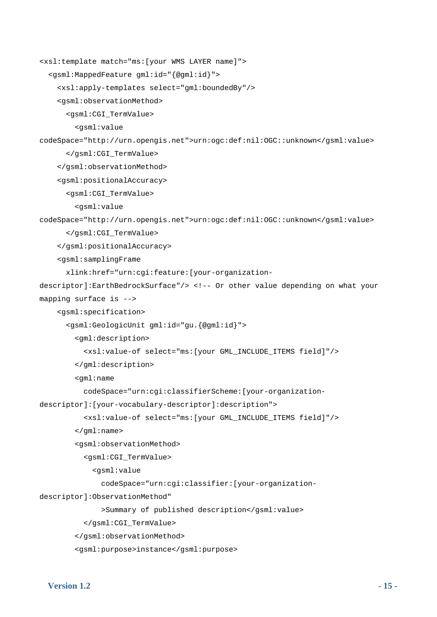```
<xsl:template match="ms:[your WMS LAYER name]"> 
   <gsml:MappedFeature gml:id="{@gml:id}"> 
     <xsl:apply-templates select="gml:boundedBy"/> 
     <gsml:observationMethod> 
       <gsml:CGI_TermValue> 
         <gsml:value 
codeSpace="http://urn.opengis.net">urn:ogc:def:nil:OGC::unknown</gsml:value> 
       </gsml:CGI_TermValue> 
     </gsml:observationMethod> 
     <gsml:positionalAccuracy> 
       <gsml:CGI_TermValue> 
         <gsml:value 
codeSpace="http://urn.opengis.net">urn:ogc:def:nil:OGC::unknown</gsml:value> 
       </gsml:CGI_TermValue> 
     </gsml:positionalAccuracy> 
     <gsml:samplingFrame 
       xlink:href="urn:cgi:feature:[your-organization-
descriptor]:EarthBedrockSurface"/> <!-- Or other value depending on what your 
mapping surface is --> 
     <gsml:specification> 
       <gsml:GeologicUnit gml:id="gu.{@gml:id}"> 
         <gml:description> 
           <xsl:value-of select="ms:[your GML_INCLUDE_ITEMS field]"/> 
         </gml:description> 
         <gml:name 
           codeSpace="urn:cgi:classifierScheme:[your-organization-
descriptor]:[your-vocabulary-descriptor]:description"> 
           <xsl:value-of select="ms:[your GML_INCLUDE_ITEMS field]"/> 
         </gml:name> 
         <gsml:observationMethod> 
           <gsml:CGI_TermValue> 
             <gsml:value 
               codeSpace="urn:cgi:classifier:[your-organization-
descriptor]:ObservationMethod" 
                >Summary of published description</gsml:value> 
           </gsml:CGI_TermValue> 
         </gsml:observationMethod>
```

```
 <gsml:purpose>instance</gsml:purpose>
```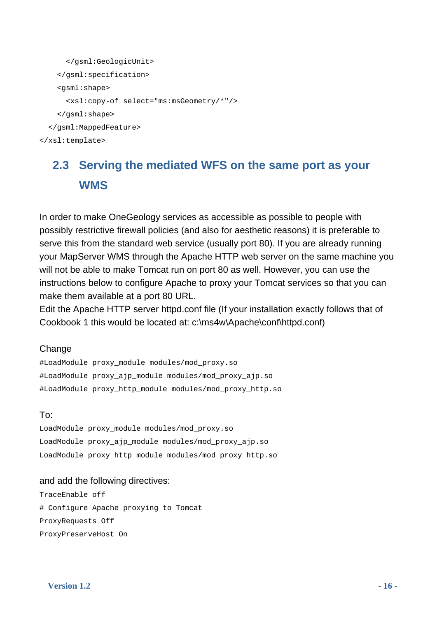```
 </gsml:GeologicUnit> 
     </gsml:specification> 
     <gsml:shape> 
       <xsl:copy-of select="ms:msGeometry/*"/> 
     </gsml:shape> 
   </gsml:MappedFeature> 
</xsl:template>
```
### **2.3 Serving the mediated WFS on the same port as your WMS**

In order to make OneGeology services as accessible as possible to people with possibly restrictive firewall policies (and also for aesthetic reasons) it is preferable to serve this from the standard web service (usually port 80). If you are already running your MapServer WMS through the Apache HTTP web server on the same machine you will not be able to make Tomcat run on port 80 as well. However, you can use the instructions below to configure Apache to proxy your Tomcat services so that you can make them available at a port 80 URL.

Edit the Apache HTTP server httpd.conf file (If your installation exactly follows that of Cookbook 1 this would be located at: c:\ms4w\Apache\conf\httpd.conf)

#### **Change**

#LoadModule proxy\_module modules/mod\_proxy.so #LoadModule proxy\_ajp\_module modules/mod\_proxy\_ajp.so #LoadModule proxy\_http\_module modules/mod\_proxy\_http.so

### To:

LoadModule proxy\_module modules/mod\_proxy.so LoadModule proxy\_ajp\_module modules/mod\_proxy\_ajp.so LoadModule proxy\_http\_module modules/mod\_proxy\_http.so

### and add the following directives:

TraceEnable off # Configure Apache proxying to Tomcat ProxyRequests Off ProxyPreserveHost On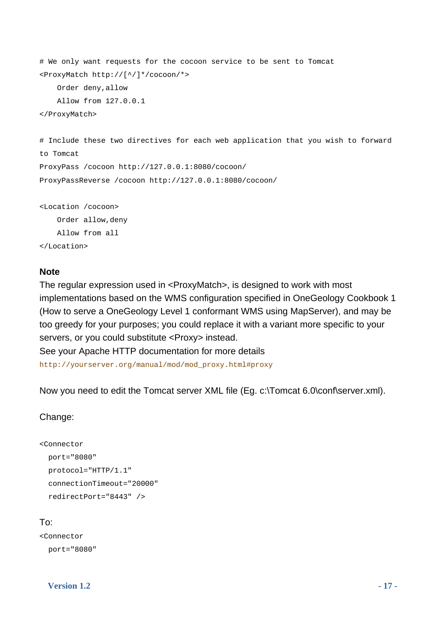```
# We only want requests for the cocoon service to be sent to Tomcat 
<ProxyMatch http://[^/]*/cocoon/*>
```
Order deny,allow

```
 Allow from 127.0.0.1
```
</ProxyMatch>

```
# Include these two directives for each web application that you wish to forward 
to Tomcat 
ProxyPass /cocoon http://127.0.0.1:8080/cocoon/ 
ProxyPassReverse /cocoon http://127.0.0.1:8080/cocoon/ 
<Location /cocoon>
```
 Order allow,deny Allow from all </Location>

#### **Note**

The regular expression used in <ProxyMatch>, is designed to work with most implementations based on the WMS configuration specified in OneGeology Cookbook 1 (How to serve a OneGeology Level 1 conformant WMS using MapServer), and may be too greedy for your purposes; you could replace it with a variant more specific to your servers, or you could substitute <Proxy> instead.

See your Apache HTTP documentation for more details

http://yourserver.org/manual/mod/mod\_proxy.html#proxy

Now you need to edit the Tomcat server XML file (Eg. c:\Tomcat 6.0\conf\server.xml).

#### Change:

```
<Connector 
   port="8080" 
   protocol="HTTP/1.1" 
   connectionTimeout="20000" 
   redirectPort="8443" />
```
### To:

```
<Connector 
   port="8080"
```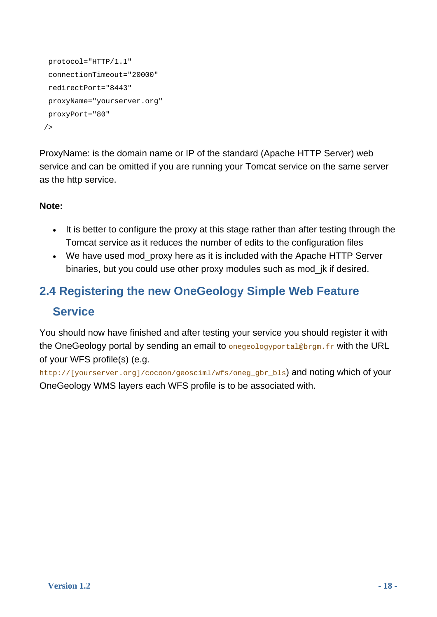```
 protocol="HTTP/1.1" 
  connectionTimeout="20000" 
  redirectPort="8443" 
  proxyName="yourserver.org" 
 proxyPort="80" 
/
```
ProxyName: is the domain name or IP of the standard (Apache HTTP Server) web service and can be omitted if you are running your Tomcat service on the same server as the http service.

### **Note:**

- It is better to configure the proxy at this stage rather than after testing through the Tomcat service as it reduces the number of edits to the configuration files
- We have used mod proxy here as it is included with the Apache HTTP Server binaries, but you could use other proxy modules such as mod\_jk if desired.

### <span id="page-17-0"></span>**2.4 Registering the new OneGeology Simple Web Feature Service**

You should now have finished and after testing your service you should register it with the OneGeology portal by sending an email to onegeologyportal@brgm.fr with the URL of your WFS profile(s) (e.g.

http://[yourserver.org]/cocoon/geosciml/wfs/oneg\_gbr\_bls) and noting which of your OneGeology WMS layers each WFS profile is to be associated with.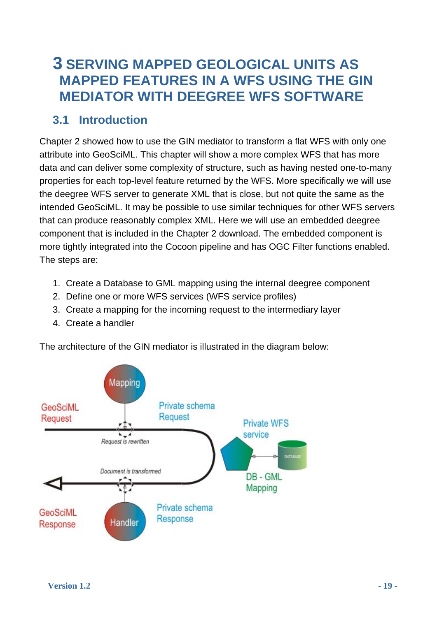### <span id="page-18-0"></span>**3 SERVING MAPPED GEOLOGICAL UNITS AS MAPPED FEATURES IN A WFS USING THE GIN MEDIATOR WITH DEEGREE WFS SOFTWARE**

### **3.1 Introduction**

<span id="page-18-1"></span>Chapter 2 showed how to use the GIN mediator to transform a flat WFS with only one attribute into GeoSciML. This chapter will show a more complex WFS that has more data and can deliver some complexity of structure, such as having nested one-to-many properties for each top-level feature returned by the WFS. More specifically we will use the deegree WFS server to generate XML that is close, but not quite the same as the intended GeoSciML. It may be possible to use similar techniques for other WFS servers that can produce reasonably complex XML. Here we will use an embedded deegree component that is included in the Chapter 2 download. The embedded component is more tightly integrated into the Cocoon pipeline and has OGC Filter functions enabled. The steps are:

- 1. Create a Database to GML mapping using the internal deegree component
- 2. Define one or more WFS services (WFS service profiles)
- 3. Create a mapping for the incoming request to the intermediary layer
- 4. Create a handler

The architecture of the GIN mediator is illustrated in the diagram below:

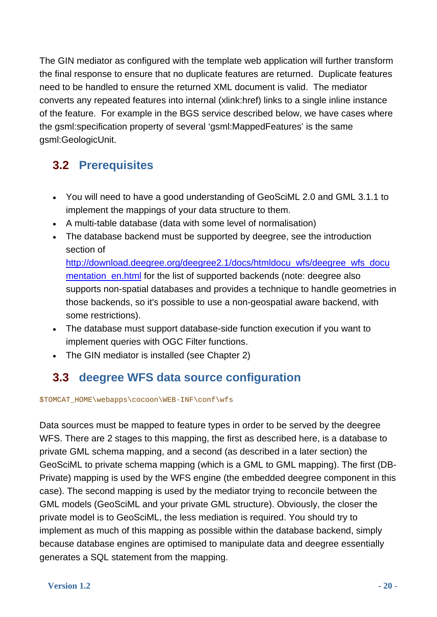The GIN mediator as configured with the template web application will further transform the final response to ensure that no duplicate features are returned. Duplicate features need to be handled to ensure the returned XML document is valid. The mediator converts any repeated features into internal (xlink:href) links to a single inline instance of the feature. For example in the BGS service described below, we have cases where the gsml:specification property of several 'gsml:MappedFeatures' is the same gsml:GeologicUnit.

### **3.2 Prerequisites**

- You will need to have a good understanding of GeoSciML 2.0 and GML 3.1.1 to implement the mappings of your data structure to them.
- A multi-table database (data with some level of normalisation)
- The database backend must be supported by deegree, see the introduction section of

[http://download.deegree.org/deegree2.1/docs/htmldocu\\_wfs/deegree\\_wfs\\_docu](http://download.deegree.org/deegree2.1/docs/htmldocu_wfs/deegree_wfs_documentation_en.html) [mentation\\_en.html](http://download.deegree.org/deegree2.1/docs/htmldocu_wfs/deegree_wfs_documentation_en.html) for the list of supported backends (note: deegree also supports non-spatial databases and provides a technique to handle geometries in those backends, so it's possible to use a non-geospatial aware backend, with some restrictions).

- The database must support database-side function execution if you want to implement queries with OGC Filter functions.
- The GIN mediator is installed (see Chapter 2)

### **3.3 deegree WFS data source configuration**

<span id="page-19-0"></span>\$TOMCAT\_HOME\webapps\cocoon\WEB-INF\conf\wfs

Data sources must be mapped to feature types in order to be served by the deegree WFS. There are 2 stages to this mapping, the first as described here, is a database to private GML schema mapping, and a second (as described in a later section) the GeoSciML to private schema mapping (which is a GML to GML mapping). The first (DB-Private) mapping is used by the WFS engine (the embedded deegree component in this case). The second mapping is used by the mediator trying to reconcile between the GML models (GeoSciML and your private GML structure). Obviously, the closer the private model is to GeoSciML, the less mediation is required. You should try to implement as much of this mapping as possible within the database backend, simply because database engines are optimised to manipulate data and deegree essentially generates a SQL statement from the mapping.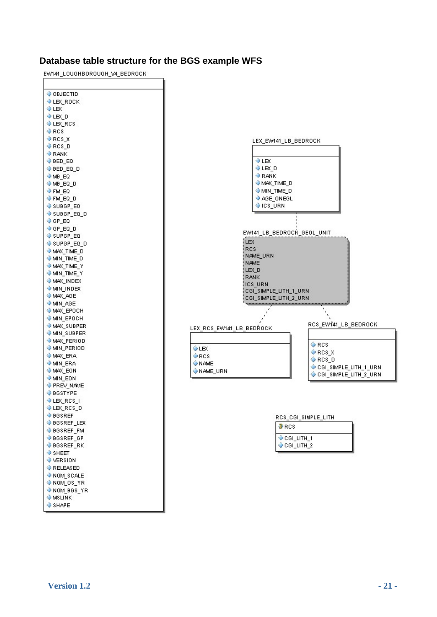#### **Database table structure for the BGS example WFS**

EW141\_LOUGHBOROUGH\_V4\_BEDROCK

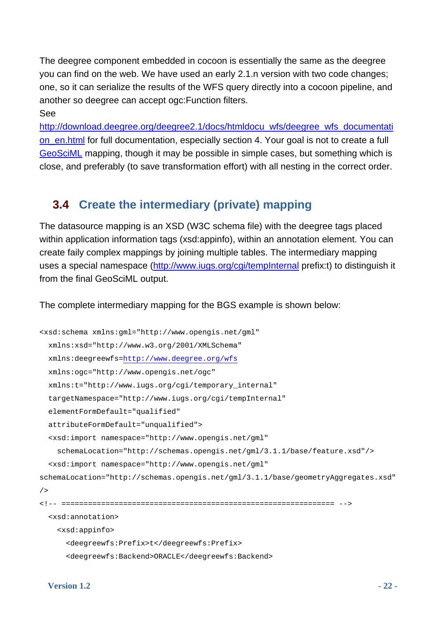The deegree component embedded in cocoon is essentially the same as the deegree you can find on the web. We have used an early 2.1.n version with two code changes; one, so it can serialize the results of the WFS query directly into a cocoon pipeline, and another so deegree can accept ogc:Function filters.

See

[http://download.deegree.org/deegree2.1/docs/htmldocu\\_wfs/deegree\\_wfs\\_documentati](http://download.deegree.org/deegree2.1/docs/htmldocu_wfs/deegree_wfs_documentation_en.html) [on\\_en.html](http://download.deegree.org/deegree2.1/docs/htmldocu_wfs/deegree_wfs_documentation_en.html) for full documentation, especially section 4. Your goal is not to create a full [GeoSciML](https://www.seegrid.csiro.au/twiki/bin/view/CGIModel/GeoSciML) mapping, though it may be possible in simple cases, but something which is close, and preferably (to save transformation effort) with all nesting in the correct order.

### **3.4 Create the intermediary (private) mapping**

<span id="page-21-0"></span>The datasource mapping is an XSD (W3C schema file) with the deegree tags placed within application information tags (xsd:appinfo), within an annotation element. You can create faily complex mappings by joining multiple tables. The intermediary mapping uses a special namespace (<http://www.iugs.org/cgi/tempInternal>prefix:t) to distinguish it from the final GeoSciML output.

The complete intermediary mapping for the BGS example is shown below:

```
<xsd:schema xmlns:gml="http://www.opengis.net/gml" 
   xmlns:xsd="http://www.w3.org/2001/XMLSchema" 
   xmlns:deegreewfs=http://www.deegree.org/wfs 
   xmlns:ogc="http://www.opengis.net/ogc" 
   xmlns:t="http://www.iugs.org/cgi/temporary_internal" 
   targetNamespace="http://www.iugs.org/cgi/tempInternal" 
   elementFormDefault="qualified" 
   attributeFormDefault="unqualified"> 
   <xsd:import namespace="http://www.opengis.net/gml" 
     schemaLocation="http://schemas.opengis.net/gml/3.1.1/base/feature.xsd"/> 
   <xsd:import namespace="http://www.opengis.net/gml" 
schemaLocation="http://schemas.opengis.net/gml/3.1.1/base/geometryAggregates.xsd"
/> 
<!-- ============================================================== --> 
   <xsd:annotation> 
     <xsd:appinfo> 
       <deegreewfs:Prefix>t</deegreewfs:Prefix> 
       <deegreewfs:Backend>ORACLE</deegreewfs:Backend>
```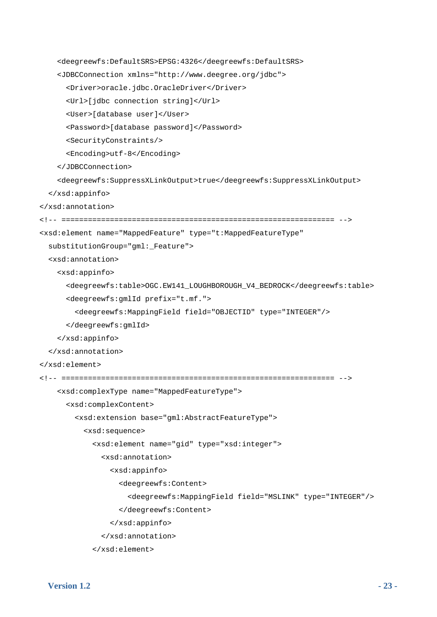```
 <deegreewfs:DefaultSRS>EPSG:4326</deegreewfs:DefaultSRS> 
     <JDBCConnection xmlns="http://www.deegree.org/jdbc"> 
       <Driver>oracle.jdbc.OracleDriver</Driver> 
       <Url>[jdbc connection string]</Url> 
       <User>[database user]</User> 
       <Password>[database password]</Password> 
       <SecurityConstraints/> 
       <Encoding>utf-8</Encoding> 
     </JDBCConnection> 
     <deegreewfs:SuppressXLinkOutput>true</deegreewfs:SuppressXLinkOutput> 
   </xsd:appinfo> 
</xsd:annotation> 
<!-- ============================================================== --> 
<xsd:element name="MappedFeature" type="t:MappedFeatureType" 
   substitutionGroup="gml:_Feature"> 
   <xsd:annotation> 
     <xsd:appinfo> 
       <deegreewfs:table>OGC.EW141_LOUGHBOROUGH_V4_BEDROCK</deegreewfs:table> 
       <deegreewfs:gmlId prefix="t.mf."> 
         <deegreewfs:MappingField field="OBJECTID" type="INTEGER"/> 
       </deegreewfs:gmlId> 
     </xsd:appinfo> 
   </xsd:annotation> 
</xsd:element> 
<!-- ============================================================== --> 
     <xsd:complexType name="MappedFeatureType"> 
       <xsd:complexContent> 
         <xsd:extension base="gml:AbstractFeatureType"> 
           <xsd:sequence> 
             <xsd:element name="gid" type="xsd:integer"> 
                <xsd:annotation> 
                  <xsd:appinfo> 
                    <deegreewfs:Content> 
                      <deegreewfs:MappingField field="MSLINK" type="INTEGER"/> 
                    </deegreewfs:Content> 
                  </xsd:appinfo> 
                </xsd:annotation> 
             </xsd:element>
```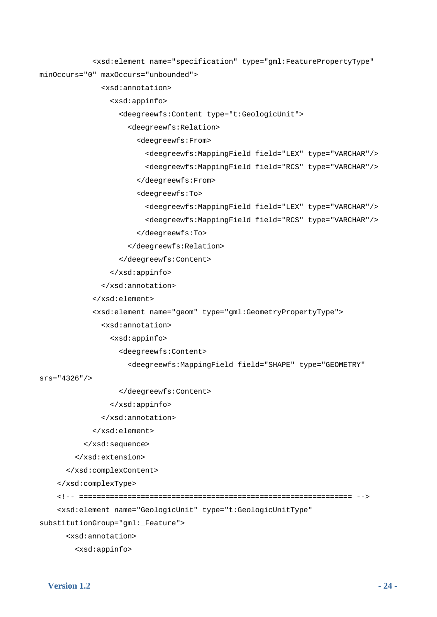```
 <xsd:element name="specification" type="gml:FeaturePropertyType"
```

```
minOccurs="0" maxOccurs="unbounded">
```
#### <xsd:annotation>

<xsd:appinfo>

<deegreewfs:Content type="t:GeologicUnit">

<deegreewfs:Relation>

<deegreewfs:From>

<deegreewfs:MappingField field="LEX" type="VARCHAR"/>

<deegreewfs:MappingField field="RCS" type="VARCHAR"/>

</deegreewfs:From>

<deegreewfs:To>

```
 <deegreewfs:MappingField field="LEX" type="VARCHAR"/>
```

```
 <deegreewfs:MappingField field="RCS" type="VARCHAR"/>
```
</deegreewfs:To>

```
 </deegreewfs:Relation>
```
</deegreewfs:Content>

```
 </xsd:appinfo>
```

```
 </xsd:annotation>
```

```
 </xsd:element>
```

```
 <xsd:element name="geom" type="gml:GeometryPropertyType">
```
<xsd:annotation>

<xsd:appinfo>

<deegreewfs:Content>

<deegreewfs:MappingField field="SHAPE" type="GEOMETRY"

srs="4326"/>

</deegreewfs:Content>

```
 </xsd:appinfo>
```

```
 </xsd:annotation>
```
</xsd:element>

</xsd:sequence>

</xsd:extension>

</xsd:complexContent>

</xsd:complexType>

```
 <!-- ============================================================== -->
```

```
 <xsd:element name="GeologicUnit" type="t:GeologicUnitType"
```
substitutionGroup="gml:\_Feature">

<xsd:annotation>

<xsd:appinfo>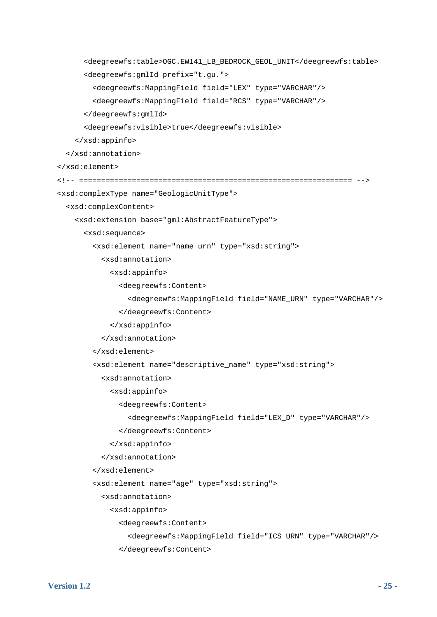```
 <deegreewfs:table>OGC.EW141_LB_BEDROCK_GEOL_UNIT</deegreewfs:table> 
       <deegreewfs:gmlId prefix="t.gu."> 
         <deegreewfs:MappingField field="LEX" type="VARCHAR"/> 
         <deegreewfs:MappingField field="RCS" type="VARCHAR"/> 
       </deegreewfs:gmlId> 
       <deegreewfs:visible>true</deegreewfs:visible> 
     </xsd:appinfo> 
   </xsd:annotation> 
 </xsd:element> 
 <!-- ============================================================== --> 
 <xsd:complexType name="GeologicUnitType"> 
   <xsd:complexContent> 
     <xsd:extension base="gml:AbstractFeatureType"> 
       <xsd:sequence> 
         <xsd:element name="name_urn" type="xsd:string"> 
           <xsd:annotation> 
             <xsd:appinfo> 
                <deegreewfs:Content> 
                  <deegreewfs:MappingField field="NAME_URN" type="VARCHAR"/> 
                </deegreewfs:Content> 
              </xsd:appinfo> 
            </xsd:annotation> 
         </xsd:element> 
         <xsd:element name="descriptive_name" type="xsd:string"> 
           <xsd:annotation> 
             <xsd:appinfo> 
                <deegreewfs:Content> 
                  <deegreewfs:MappingField field="LEX_D" type="VARCHAR"/> 
                </deegreewfs:Content> 
              </xsd:appinfo> 
           </xsd:annotation> 
         </xsd:element> 
         <xsd:element name="age" type="xsd:string"> 
            <xsd:annotation> 
             <xsd:appinfo> 
                <deegreewfs:Content> 
                  <deegreewfs:MappingField field="ICS_URN" type="VARCHAR"/> 
                </deegreewfs:Content>
```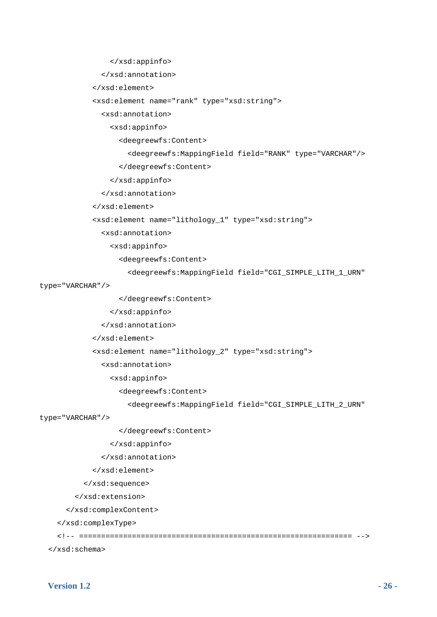```
 </xsd:appinfo>
```

```
 </xsd:annotation>
```

```
 </xsd:element>
```
<xsd:element name="rank" type="xsd:string">

```
 <xsd:annotation>
```
<xsd:appinfo>

<deegreewfs:Content>

```
 <deegreewfs:MappingField field="RANK" type="VARCHAR"/>
```
</deegreewfs:Content>

</xsd:appinfo>

```
 </xsd:annotation>
```

```
 </xsd:element>
```

```
 <xsd:element name="lithology_1" type="xsd:string">
```
<xsd:annotation>

<xsd:appinfo>

<deegreewfs:Content>

```
 <deegreewfs:MappingField field="CGI_SIMPLE_LITH_1_URN"
```
type="VARCHAR"/>

</deegreewfs:Content>

```
 </xsd:appinfo>
```

```
 </xsd:annotation>
```
</xsd:element>

<xsd:element name="lithology\_2" type="xsd:string">

<xsd:annotation>

```
 <xsd:appinfo>
```
<deegreewfs:Content>

<deegreewfs:MappingField field="CGI\_SIMPLE\_LITH\_2\_URN"

type="VARCHAR"/>

</deegreewfs:Content>

```
 </xsd:appinfo>
```

```
 </xsd:annotation>
```

```
 </xsd:element>
```

```
 </xsd:sequence>
```
</xsd:extension>

</xsd:complexContent>

</xsd:complexType>

<!-- ============================================================== -->

</xsd:schema>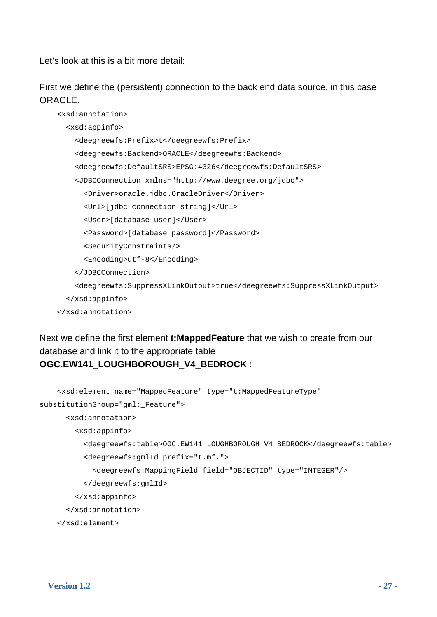Let's look at this is a bit more detail:

First we define the (persistent) connection to the back end data source, in this case ORACLE.

```
 <xsd:annotation> 
   <xsd:appinfo> 
     <deegreewfs:Prefix>t</deegreewfs:Prefix> 
     <deegreewfs:Backend>ORACLE</deegreewfs:Backend> 
     <deegreewfs:DefaultSRS>EPSG:4326</deegreewfs:DefaultSRS> 
     <JDBCConnection xmlns="http://www.deegree.org/jdbc"> 
       <Driver>oracle.jdbc.OracleDriver</Driver> 
       <Url>[jdbc connection string]</Url> 
       <User>[database user]</User> 
       <Password>[database password]</Password> 
       <SecurityConstraints/> 
       <Encoding>utf-8</Encoding> 
     </JDBCConnection> 
     <deegreewfs:SuppressXLinkOutput>true</deegreewfs:SuppressXLinkOutput> 
   </xsd:appinfo> 
 </xsd:annotation>
```
Next we define the first element **t:MappedFeature** that we wish to create from our database and link it to the appropriate table **OGC.EW141\_LOUGHBOROUGH\_V4\_BEDROCK** :

```
 <xsd:element name="MappedFeature" type="t:MappedFeatureType" 
substitutionGroup="gml:_Feature"> 
       <xsd:annotation> 
         <xsd:appinfo> 
           <deegreewfs:table>OGC.EW141_LOUGHBOROUGH_V4_BEDROCK</deegreewfs:table> 
           <deegreewfs:gmlId prefix="t.mf."> 
             <deegreewfs:MappingField field="OBJECTID" type="INTEGER"/> 
           </deegreewfs:gmlId> 
         </xsd:appinfo> 
       </xsd:annotation> 
     </xsd:element>
```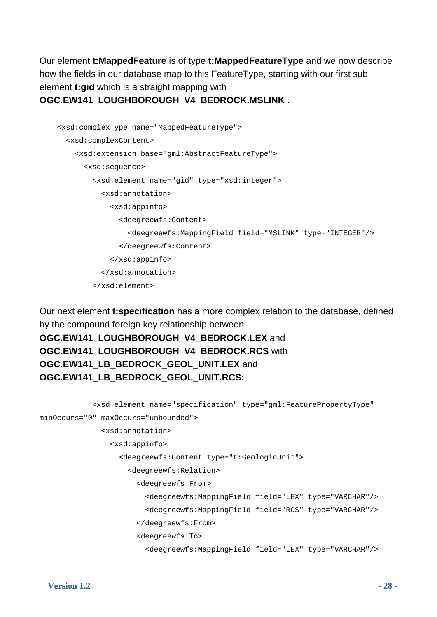Our element **t:MappedFeature** is of type **t:MappedFeatureType** and we now describe how the fields in our database map to this FeatureType, starting with our first sub element **t:gid** which is a straight mapping with

#### **OGC.EW141\_LOUGHBOROUGH\_V4\_BEDROCK.MSLINK** .

```
 <xsd:complexType name="MappedFeatureType"> 
   <xsd:complexContent> 
     <xsd:extension base="gml:AbstractFeatureType"> 
       <xsd:sequence> 
         <xsd:element name="gid" type="xsd:integer"> 
           <xsd:annotation> 
              <xsd:appinfo> 
                <deegreewfs:Content> 
                  <deegreewfs:MappingField field="MSLINK" type="INTEGER"/> 
                </deegreewfs:Content> 
              </xsd:appinfo> 
           </xsd:annotation> 
         </xsd:element>
```
Our next element **t:specification** has a more complex relation to the database, defined by the compound foreign key relationship between **OGC.EW141\_LOUGHBOROUGH\_V4\_BEDROCK.LEX** and **OGC.EW141\_LOUGHBOROUGH\_V4\_BEDROCK.RCS** with **OGC.EW141\_LB\_BEDROCK\_GEOL\_UNIT.LEX** and **OGC.EW141\_LB\_BEDROCK\_GEOL\_UNIT.RCS:**

```
 <xsd:element name="specification" type="gml:FeaturePropertyType" 
minOccurs="0" maxOccurs="unbounded"> 
                <xsd:annotation> 
                  <xsd:appinfo> 
                    <deegreewfs:Content type="t:GeologicUnit"> 
                      <deegreewfs:Relation> 
                        <deegreewfs:From> 
                           <deegreewfs:MappingField field="LEX" type="VARCHAR"/> 
                           <deegreewfs:MappingField field="RCS" type="VARCHAR"/> 
                        </deegreewfs:From> 
                        <deegreewfs:To> 
                           <deegreewfs:MappingField field="LEX" type="VARCHAR"/>
```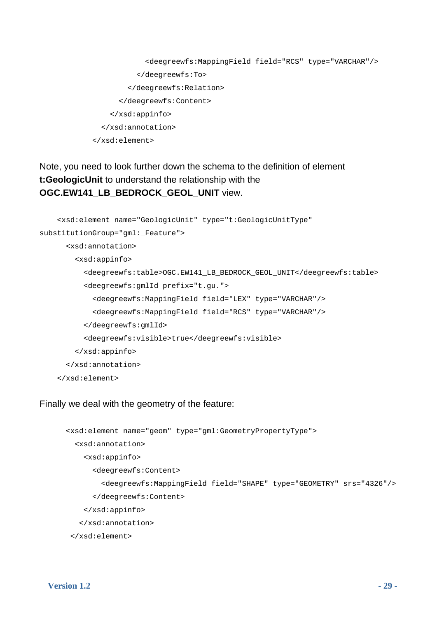```
 <deegreewfs:MappingField field="RCS" type="VARCHAR"/> 
            </deegreewfs:To> 
          </deegreewfs:Relation> 
       </deegreewfs:Content> 
     </xsd:appinfo> 
   </xsd:annotation> 
 </xsd:element>
```
Note, you need to look further down the schema to the definition of element **t:GeologicUnit** to understand the relationship with the **OGC.EW141\_LB\_BEDROCK\_GEOL\_UNIT** view.

```
 <xsd:element name="GeologicUnit" type="t:GeologicUnitType" 
substitutionGroup="gml:_Feature"> 
       <xsd:annotation> 
         <xsd:appinfo> 
           <deegreewfs:table>OGC.EW141_LB_BEDROCK_GEOL_UNIT</deegreewfs:table> 
           <deegreewfs:gmlId prefix="t.gu."> 
             <deegreewfs:MappingField field="LEX" type="VARCHAR"/> 
             <deegreewfs:MappingField field="RCS" type="VARCHAR"/> 
           </deegreewfs:gmlId> 
           <deegreewfs:visible>true</deegreewfs:visible> 
         </xsd:appinfo> 
       </xsd:annotation> 
     </xsd:element>
```
#### Finally we deal with the geometry of the feature:

```
 <xsd:element name="geom" type="gml:GeometryPropertyType"> 
   <xsd:annotation> 
     <xsd:appinfo> 
       <deegreewfs:Content> 
         <deegreewfs:MappingField field="SHAPE" type="GEOMETRY" srs="4326"/> 
       </deegreewfs:Content> 
     </xsd:appinfo> 
    </xsd:annotation> 
 </xsd:element>
```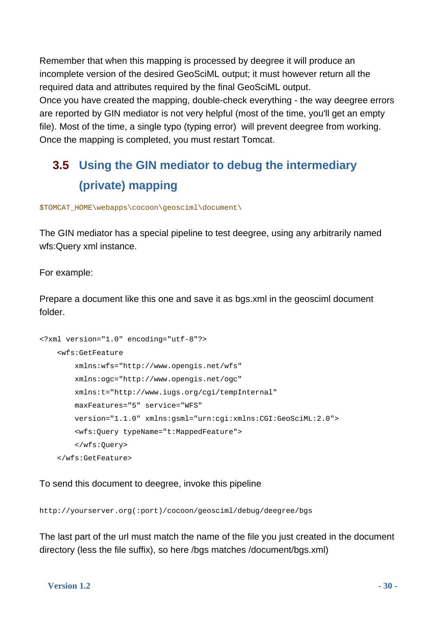Remember that when this mapping is processed by deegree it will produce an incomplete version of the desired GeoSciML output; it must however return all the required data and attributes required by the final GeoSciML output. Once you have created the mapping, double-check everything - the way deegree errors are reported by GIN mediator is not very helpful (most of the time, you'll get an empty file). Most of the time, a single typo (typing error) will prevent deegree from working. Once the mapping is completed, you must restart Tomcat.

### <span id="page-29-0"></span>**3.5 Using the GIN mediator to debug the intermediary (private) mapping**

\$TOMCAT\_HOME\webapps\cocoon\geosciml\document\

The GIN mediator has a special pipeline to test deegree, using any arbitrarily named wfs:Query xml instance.

For example:

Prepare a document like this one and save it as bgs.xml in the geosciml document folder.

```
<?xml version="1.0" encoding="utf-8"?> 
     <wfs:GetFeature 
         xmlns:wfs="http://www.opengis.net/wfs" 
         xmlns:ogc="http://www.opengis.net/ogc" 
         xmlns:t="http://www.iugs.org/cgi/tempInternal" 
         maxFeatures="5" service="WFS" 
         version="1.1.0" xmlns:gsml="urn:cgi:xmlns:CGI:GeoSciML:2.0"> 
         <wfs:Query typeName="t:MappedFeature"> 
         </wfs:Query> 
     </wfs:GetFeature>
```
To send this document to deegree, invoke this pipeline

http://yourserver.org(:port)/cocoon/geosciml/debug/deegree/bgs

The last part of the url must match the name of the file you just created in the document directory (less the file suffix), so here /bgs matches /document/bgs.xml)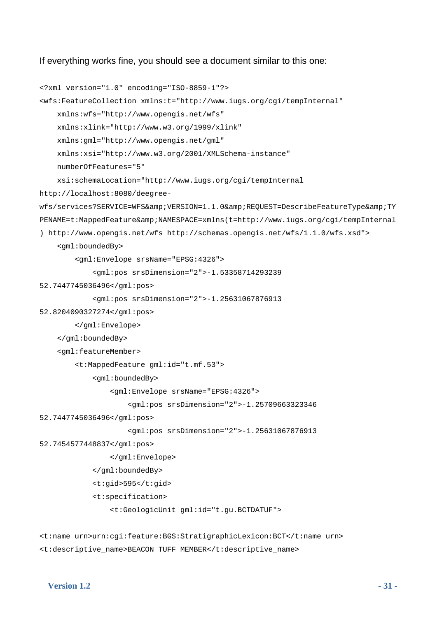If everything works fine, you should see a document similar to this one:

```
<?xml version="1.0" encoding="ISO-8859-1"?> 
<wfs:FeatureCollection xmlns:t="http://www.iugs.org/cgi/tempInternal" 
    xmlns:wfs="http://www.opengis.net/wfs" 
    xmlns:xlink="http://www.w3.org/1999/xlink" 
    xmlns:gml="http://www.opengis.net/gml" 
    xmlns:xsi="http://www.w3.org/2001/XMLSchema-instance" 
     numberOfFeatures="5" 
     xsi:schemaLocation="http://www.iugs.org/cgi/tempInternal 
http://localhost:8080/deegree-
wfs/services?SERVICE=WFS&VERSION=1.1.0&REQUEST=DescribeFeatureType&TY
PENAME=t:MappedFeature&NAMESPACE=xmlns(t=http://www.iuqs.org/cqi/tempInternal
) http://www.opengis.net/wfs http://schemas.opengis.net/wfs/1.1.0/wfs.xsd"> 
     <gml:boundedBy> 
         <gml:Envelope srsName="EPSG:4326"> 
             <gml:pos srsDimension="2">-1.53358714293239 
52.7447745036496</gml:pos> 
             <gml:pos srsDimension="2">-1.25631067876913 
52.8204090327274</gml:pos> 
         </gml:Envelope> 
     </gml:boundedBy> 
     <gml:featureMember> 
         <t:MappedFeature gml:id="t.mf.53"> 
             <gml:boundedBy> 
                 <gml:Envelope srsName="EPSG:4326"> 
                      <gml:pos srsDimension="2">-1.25709663323346 
52.7447745036496</gml:pos> 
                      <gml:pos srsDimension="2">-1.25631067876913 
52.7454577448837</gml:pos> 
                 </gml:Envelope> 
             </gml:boundedBy> 
             <t:gid>595</t:gid> 
             <t:specification> 
                 <t:GeologicUnit gml:id="t.gu.BCTDATUF"> 
<t:name_urn>urn:cgi:feature:BGS:StratigraphicLexicon:BCT</t:name_urn>
```
<t:descriptive\_name>BEACON TUFF MEMBER</t:descriptive\_name>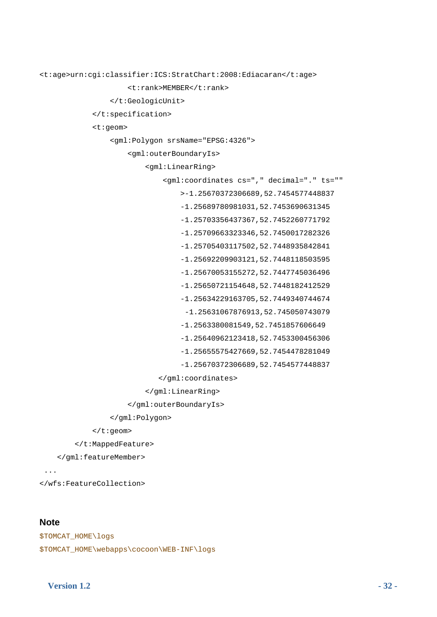```
<t:age>urn:cgi:classifier:ICS:StratChart:2008:Ediacaran</t:age> 
                      <t:rank>MEMBER</t:rank> 
                  </t:GeologicUnit> 
              </t:specification> 
              <t:geom> 
                  <gml:Polygon srsName="EPSG:4326"> 
                      <gml:outerBoundaryIs> 
                           <gml:LinearRing> 
                               <gml:coordinates cs="," decimal="." ts="" 
                                   >-1.25670372306689,52.7454577448837 
                                   -1.25689780981031,52.7453690631345 
                                   -1.25703356437367,52.7452260771792 
                                   -1.25709663323346,52.7450017282326 
                                   -1.25705403117502,52.7448935842841 
                                   -1.25692209903121,52.7448118503595 
                                   -1.25670053155272,52.7447745036496 
                                   -1.25650721154648,52.7448182412529 
                                   -1.25634229163705,52.7449340744674 
                                    -1.25631067876913,52.745050743079 
                                   -1.2563380081549,52.7451857606649 
                                   -1.25640962123418,52.7453300456306 
                                   -1.25655575427669,52.7454478281049 
                                   -1.25670372306689,52.7454577448837 
                              </gml:coordinates> 
                           </gml:LinearRing> 
                      </gml:outerBoundaryIs> 
                  </gml:Polygon> 
              </t:geom>
```
</t:MappedFeature>

</gml:featureMember>

...

</wfs:FeatureCollection>

#### **Note**

```
$TOMCAT_HOME\logs 
$TOMCAT_HOME\webapps\cocoon\WEB-INF\logs
```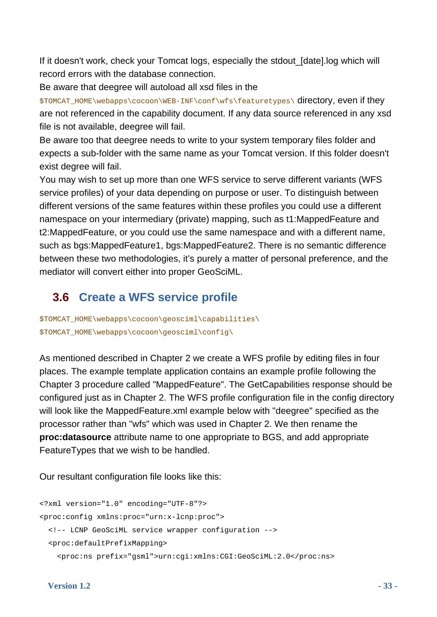If it doesn't work, check your Tomcat logs, especially the stdout\_[date].log which will record errors with the database connection.

Be aware that deegree will autoload all xsd files in the

\$TOMCAT\_HOME\webapps\cocoon\WEB-INF\conf\wfs\featuretypes\ directory, even if they are not referenced in the capability document. If any data source referenced in any xsd file is not available, deegree will fail.

Be aware too that deegree needs to write to your system temporary files folder and expects a sub-folder with the same name as your Tomcat version. If this folder doesn't exist degree will fail.

You may wish to set up more than one WFS service to serve different variants (WFS service profiles) of your data depending on purpose or user. To distinguish between different versions of the same features within these profiles you could use a different namespace on your intermediary (private) mapping, such as t1:MappedFeature and t2:MappedFeature, or you could use the same namespace and with a different name, such as bgs:MappedFeature1, bgs:MappedFeature2. There is no semantic difference between these two methodologies, it's purely a matter of personal preference, and the mediator will convert either into proper GeoSciML.

### **3.6 Create a WFS service profile**

<span id="page-32-0"></span>\$TOMCAT\_HOME\webapps\cocoon\geosciml\capabilities\ \$TOMCAT\_HOME\webapps\cocoon\geosciml\config\

As mentioned described in Chapter 2 we create a WFS profile by editing files in four places. The example template application contains an example profile following the Chapter 3 procedure called "MappedFeature". The GetCapabilities response should be configured just as in Chapter 2. The WFS profile configuration file in the config directory will look like the MappedFeature.xml example below with "deegree" specified as the processor rather than "wfs" which was used in Chapter 2. We then rename the **proc:datasource** attribute name to one appropriate to BGS, and add appropriate FeatureTypes that we wish to be handled.

Our resultant configuration file looks like this:

```
<?xml version="1.0" encoding="UTF-8"?> 
<proc:config xmlns:proc="urn:x-lcnp:proc"> 
   <!-- LCNP GeoSciML service wrapper configuration --> 
   <proc:defaultPrefixMapping> 
     <proc:ns prefix="gsml">urn:cgi:xmlns:CGI:GeoSciML:2.0</proc:ns>
```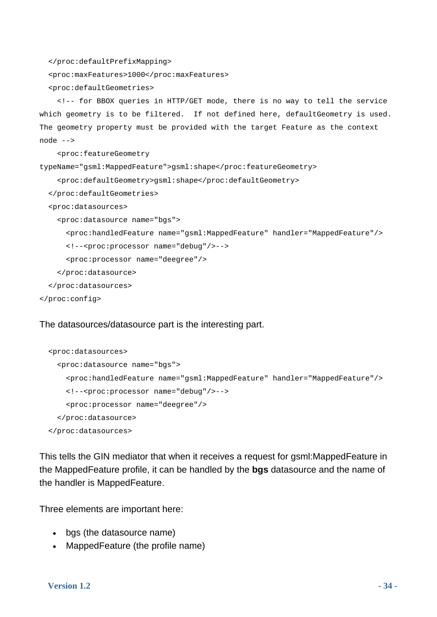</proc:defaultPrefixMapping>

<proc:maxFeatures>1000</proc:maxFeatures>

<proc:defaultGeometries>

 <!-- for BBOX queries in HTTP/GET mode, there is no way to tell the service which geometry is to be filtered. If not defined here, defaultGeometry is used. The geometry property must be provided with the target Feature as the context node -->

<proc:featureGeometry

typeName="gsml:MappedFeature">gsml:shape</proc:featureGeometry>

```
 <proc:defaultGeometry>gsml:shape</proc:defaultGeometry>
```
</proc:defaultGeometries>

<proc:datasources>

```
 <proc:datasource name="bgs">
```

```
 <proc:handledFeature name="gsml:MappedFeature" handler="MappedFeature"/>
```

```
 <!--<proc:processor name="debug"/>-->
```
<proc:processor name="deegree"/>

</proc:datasource>

</proc:datasources>

</proc:config>

#### The datasources/datasource part is the interesting part.

```
 <proc:datasources> 
   <proc:datasource name="bgs"> 
     <proc:handledFeature name="gsml:MappedFeature" handler="MappedFeature"/> 
     <!--<proc:processor name="debug"/>--> 
     <proc:processor name="deegree"/> 
   </proc:datasource> 
 </proc:datasources>
```
This tells the GIN mediator that when it receives a request for gsml:MappedFeature in the MappedFeature profile, it can be handled by the **bgs** datasource and the name of the handler is MappedFeature.

Three elements are important here:

- bgs (the datasource name)
- MappedFeature (the profile name)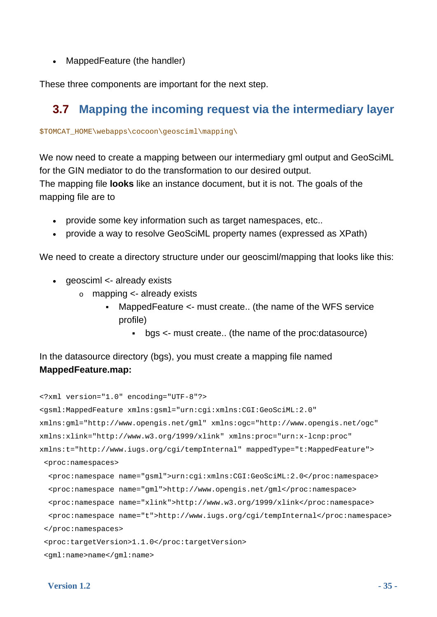• MappedFeature (the handler)

These three components are important for the next step.

### **3.7 Mapping the incoming request via the intermediary layer**

\$TOMCAT\_HOME\webapps\cocoon\geosciml\mapping\

We now need to create a mapping between our intermediary gml output and GeoSciML for the GIN mediator to do the transformation to our desired output. The mapping file **looks** like an instance document, but it is not. The goals of the mapping file are to

- provide some key information such as target namespaces, etc..
- provide a way to resolve GeoSciML property names (expressed as XPath)

We need to create a directory structure under our geosciml/mapping that looks like this:

- geosciml <- already exists
	- o mapping <- already exists
		- MappedFeature <- must create.. (the name of the WFS service profile)
			- bgs <- must create.. (the name of the proc:datasource)

In the datasource directory (bgs), you must create a mapping file named **MappedFeature.map:**

```
<?xml version="1.0" encoding="UTF-8"?> 
<gsml:MappedFeature xmlns:gsml="urn:cgi:xmlns:CGI:GeoSciML:2.0" 
xmlns:gml="http://www.opengis.net/gml" xmlns:ogc="http://www.opengis.net/ogc" 
xmlns:xlink="http://www.w3.org/1999/xlink" xmlns:proc="urn:x-lcnp:proc" 
xmlns:t="http://www.iugs.org/cgi/tempInternal" mappedType="t:MappedFeature"> 
  <proc:namespaces> 
   <proc:namespace name="gsml">urn:cgi:xmlns:CGI:GeoSciML:2.0</proc:namespace> 
   <proc:namespace name="gml">http://www.opengis.net/gml</proc:namespace> 
   <proc:namespace name="xlink">http://www.w3.org/1999/xlink</proc:namespace> 
   <proc:namespace name="t">http://www.iugs.org/cgi/tempInternal</proc:namespace> 
  </proc:namespaces> 
  <proc:targetVersion>1.1.0</proc:targetVersion> 
  <gml:name>name</gml:name>
```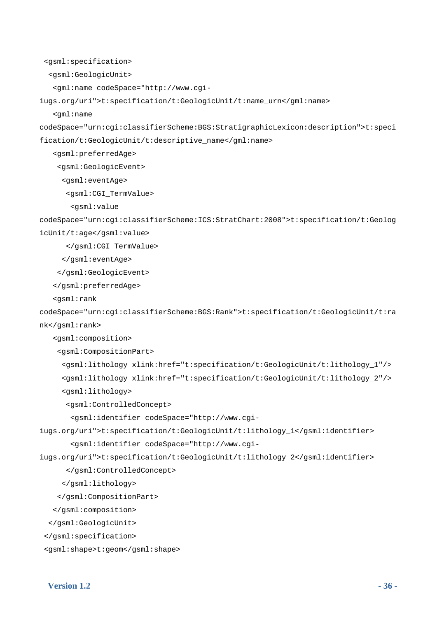```
 <gsml:specification>
```
<gsml:GeologicUnit>

<gml:name codeSpace="http://www.cgi-

iugs.org/uri">t:specification/t:GeologicUnit/t:name\_urn</gml:name>

<gml:name

codeSpace="urn:cgi:classifierScheme:BGS:StratigraphicLexicon:description">t:speci fication/t:GeologicUnit/t:descriptive\_name</gml:name>

<gsml:preferredAge>

<gsml:GeologicEvent>

<gsml:eventAge>

<gsml:CGI\_TermValue>

<gsml:value

codeSpace="urn:cgi:classifierScheme:ICS:StratChart:2008">t:specification/t:Geolog icUnit/t:age</gsml:value>

</gsml:CGI\_TermValue>

</gsml:eventAge>

</gsml:GeologicEvent>

</gsml:preferredAge>

<gsml:rank

```
codeSpace="urn:cgi:classifierScheme:BGS:Rank">t:specification/t:GeologicUnit/t:ra
nk</gsml:rank>
```
<gsml:composition>

<gsml:CompositionPart>

 <gsml:lithology xlink:href="t:specification/t:GeologicUnit/t:lithology\_1"/> <gsml:lithology xlink:href="t:specification/t:GeologicUnit/t:lithology\_2"/> <gsml:lithology>

<gsml:ControlledConcept>

<gsml:identifier codeSpace="http://www.cgi-

iugs.org/uri">t:specification/t:GeologicUnit/t:lithology\_1</gsml:identifier> <gsml:identifier codeSpace="http://www.cgi-

iugs.org/uri">t:specification/t:GeologicUnit/t:lithology\_2</gsml:identifier>

</gsml:ControlledConcept>

</gsml:lithology>

</gsml:CompositionPart>

</gsml:composition>

</gsml:GeologicUnit>

```
 </gsml:specification>
```

```
 <gsml:shape>t:geom</gsml:shape>
```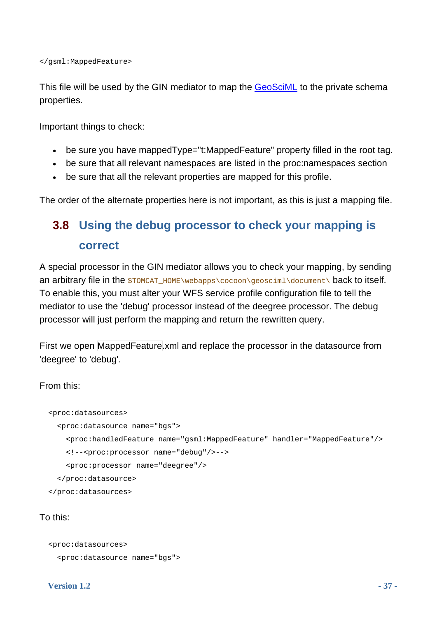</gsml:MappedFeature>

This file will be used by the GIN mediator to map the **GeoSciML** to the private schema properties.

Important things to check:

- be sure you have mappedType="t:MappedFeature" property filled in the root tag.
- be sure that all relevant namespaces are listed in the proc:namespaces section
- be sure that all the relevant properties are mapped for this profile.

<span id="page-36-0"></span>The order of the alternate properties here is not important, as this is just a mapping file.

### **3.8 Using the debug processor to check your mapping is correct**

A special processor in the GIN mediator allows you to check your mapping, by sending an arbitrary file in the  $$TOMCAT-HOME\webapps\ccoon\qeosciml\document\ back to itself.$ To enable this, you must alter your WFS service profile configuration file to tell the mediator to use the 'debug' processor instead of the deegree processor. The debug processor will just perform the mapping and return the rewritten query.

First we open MappedFeature.xml and replace the processor in the datasource from 'deegree' to 'debug'.

From this:

```
 <proc:datasources> 
   <proc:datasource name="bgs"> 
     <proc:handledFeature name="gsml:MappedFeature" handler="MappedFeature"/> 
     <!--<proc:processor name="debug"/>--> 
     <proc:processor name="deegree"/> 
   </proc:datasource> 
 </proc:datasources>
```
### To this:

```
 <proc:datasources> 
   <proc:datasource name="bgs">
```
#### **Version 1.2** - 37 -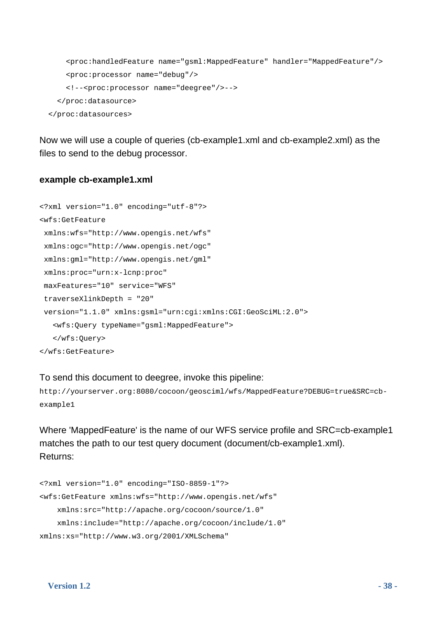```
 <proc:handledFeature name="gsml:MappedFeature" handler="MappedFeature"/> 
     <proc:processor name="debug"/> 
     <!--<proc:processor name="deegree"/>--> 
   </proc:datasource> 
 </proc:datasources>
```
Now we will use a couple of queries (cb-example1.xml and cb-example2.xml) as the files to send to the debug processor.

#### **example cb-example1.xml**

```
<?xml version="1.0" encoding="utf-8"?> 
<wfs:GetFeature 
 xmlns:wfs="http://www.opengis.net/wfs" 
  xmlns:ogc="http://www.opengis.net/ogc" 
  xmlns:gml="http://www.opengis.net/gml" 
 xmlns:proc="urn:x-lcnp:proc" 
 maxFeatures="10" service="WFS" 
  traverseXlinkDepth = "20" 
  version="1.1.0" xmlns:gsml="urn:cgi:xmlns:CGI:GeoSciML:2.0"> 
    <wfs:Query typeName="gsml:MappedFeature"> 
    </wfs:Query> 
</wfs:GetFeature>
```
To send this document to deegree, invoke this pipeline:

http://yourserver.org:8080/cocoon/geosciml/wfs/MappedFeature?DEBUG=true&SRC=cbexample1

Where 'MappedFeature' is the name of our WFS service profile and SRC=cb-example1 matches the path to our test query document (document/cb-example1.xml). Returns:

```
<?xml version="1.0" encoding="ISO-8859-1"?> 
<wfs:GetFeature xmlns:wfs="http://www.opengis.net/wfs" 
     xmlns:src="http://apache.org/cocoon/source/1.0" 
     xmlns:include="http://apache.org/cocoon/include/1.0" 
xmlns:xs="http://www.w3.org/2001/XMLSchema"
```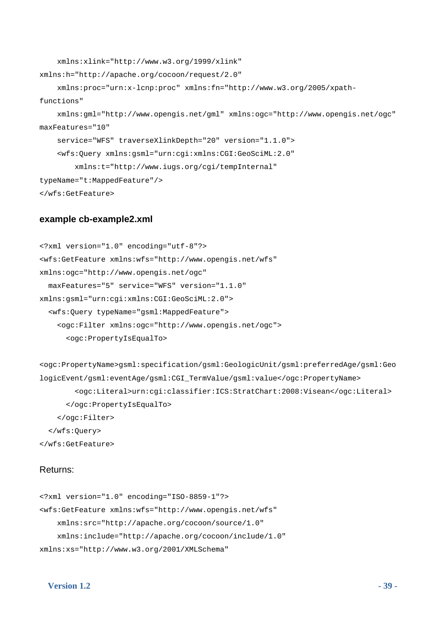```
 xmlns:xlink="http://www.w3.org/1999/xlink" 
xmlns:h="http://apache.org/cocoon/request/2.0" 
     xmlns:proc="urn:x-lcnp:proc" xmlns:fn="http://www.w3.org/2005/xpath-
functions" 
     xmlns:gml="http://www.opengis.net/gml" xmlns:ogc="http://www.opengis.net/ogc" 
maxFeatures="10" 
     service="WFS" traverseXlinkDepth="20" version="1.1.0"> 
     <wfs:Query xmlns:gsml="urn:cgi:xmlns:CGI:GeoSciML:2.0" 
         xmlns:t="http://www.iugs.org/cgi/tempInternal" 
typeName="t:MappedFeature"/> 
</wfs:GetFeature>
```
#### **example cb-example2.xml**

```
<?xml version="1.0" encoding="utf-8"?> 
<wfs:GetFeature xmlns:wfs="http://www.opengis.net/wfs" 
xmlns:ogc="http://www.opengis.net/ogc" 
   maxFeatures="5" service="WFS" version="1.1.0" 
xmlns:gsml="urn:cgi:xmlns:CGI:GeoSciML:2.0"> 
   <wfs:Query typeName="gsml:MappedFeature"> 
     <ogc:Filter xmlns:ogc="http://www.opengis.net/ogc"> 
       <ogc:PropertyIsEqualTo>
```
<ogc:PropertyName>gsml:specification/gsml:GeologicUnit/gsml:preferredAge/gsml:Geo logicEvent/gsml:eventAge/gsml:CGI\_TermValue/gsml:value</ogc:PropertyName> <ogc:Literal>urn:cgi:classifier:ICS:StratChart:2008:Visean</ogc:Literal> </ogc:PropertyIsEqualTo> </ogc:Filter> </wfs:Query>

### Returns:

</wfs:GetFeature>

```
<?xml version="1.0" encoding="ISO-8859-1"?> 
<wfs:GetFeature xmlns:wfs="http://www.opengis.net/wfs" 
     xmlns:src="http://apache.org/cocoon/source/1.0" 
     xmlns:include="http://apache.org/cocoon/include/1.0" 
xmlns:xs="http://www.w3.org/2001/XMLSchema"
```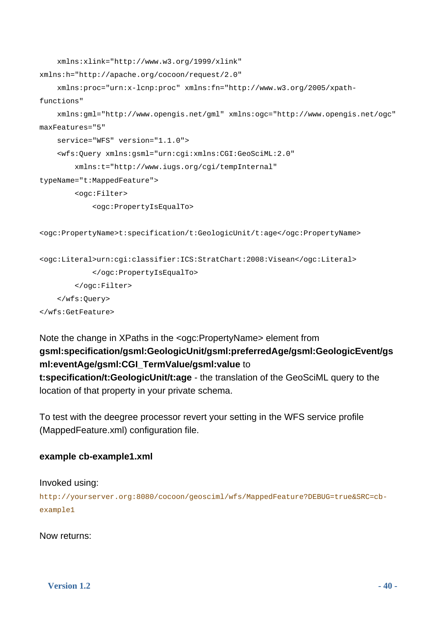```
 xmlns:xlink="http://www.w3.org/1999/xlink" 
xmlns:h="http://apache.org/cocoon/request/2.0" 
     xmlns:proc="urn:x-lcnp:proc" xmlns:fn="http://www.w3.org/2005/xpath-
functions" 
     xmlns:gml="http://www.opengis.net/gml" xmlns:ogc="http://www.opengis.net/ogc" 
maxFeatures="5" 
     service="WFS" version="1.1.0"> 
     <wfs:Query xmlns:gsml="urn:cgi:xmlns:CGI:GeoSciML:2.0" 
         xmlns:t="http://www.iugs.org/cgi/tempInternal" 
typeName="t:MappedFeature"> 
         <ogc:Filter> 
             <ogc:PropertyIsEqualTo> 
<ogc:PropertyName>t:specification/t:GeologicUnit/t:age</ogc:PropertyName> 
<ogc:Literal>urn:cgi:classifier:ICS:StratChart:2008:Visean</ogc:Literal> 
             </ogc:PropertyIsEqualTo> 
         </ogc:Filter> 
     </wfs:Query> 
</wfs:GetFeature>
```
### Note the change in XPaths in the <ogc:PropertyName> element from **gsml:specification/gsml:GeologicUnit/gsml:preferredAge/gsml:GeologicEvent/gs ml:eventAge/gsml:CGI\_TermValue/gsml:value** to **t:specification/t:GeologicUnit/t:age** - the translation of the GeoSciML query to the location of that property in your private schema.

To test with the deegree processor revert your setting in the WFS service profile (MappedFeature.xml) configuration file.

### **example cb-example1.xml**

### Invoked using:

http://yourserver.org:8080/cocoon/geosciml/wfs/MappedFeature?DEBUG=true&SRC=cbexample1

Now returns: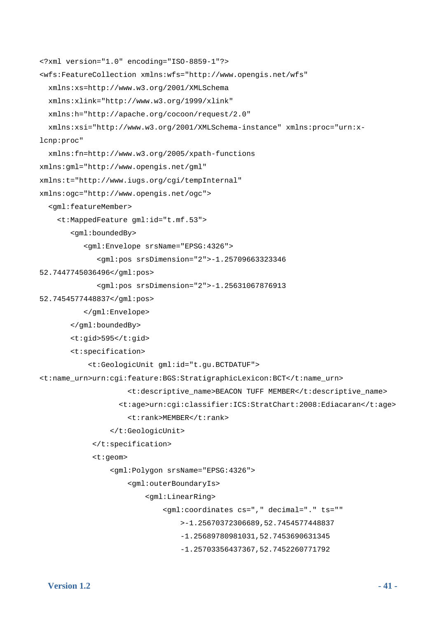```
<?xml version="1.0" encoding="ISO-8859-1"?> 
<wfs:FeatureCollection xmlns:wfs="http://www.opengis.net/wfs" 
   xmlns:xs=http://www.w3.org/2001/XMLSchema 
   xmlns:xlink="http://www.w3.org/1999/xlink" 
   xmlns:h="http://apache.org/cocoon/request/2.0" 
   xmlns:xsi="http://www.w3.org/2001/XMLSchema-instance" xmlns:proc="urn:x-
lcnp:proc" 
   xmlns:fn=http://www.w3.org/2005/xpath-functions 
xmlns:gml="http://www.opengis.net/gml" 
xmlns:t="http://www.iugs.org/cgi/tempInternal" 
xmlns:ogc="http://www.opengis.net/ogc"> 
   <gml:featureMember> 
     <t:MappedFeature gml:id="t.mf.53"> 
        <gml:boundedBy> 
           <gml:Envelope srsName="EPSG:4326"> 
               <gml:pos srsDimension="2">-1.25709663323346 
52.7447745036496</gml:pos> 
               <gml:pos srsDimension="2">-1.25631067876913 
52.7454577448837</gml:pos> 
           </gml:Envelope> 
        </gml:boundedBy> 
        <t:gid>595</t:gid> 
        <t:specification> 
            <t:GeologicUnit gml:id="t.gu.BCTDATUF"> 
<t:name_urn>urn:cgi:feature:BGS:StratigraphicLexicon:BCT</t:name_urn> 
                      <t:descriptive_name>BEACON TUFF MEMBER</t:descriptive_name> 
                    <t:age>urn:cgi:classifier:ICS:StratChart:2008:Ediacaran</t:age> 
                      <t:rank>MEMBER</t:rank> 
                  </t:GeologicUnit> 
             </t:specification> 
             <t:geom> 
                  <gml:Polygon srsName="EPSG:4326"> 
                      <gml:outerBoundaryIs> 
                          <gml:LinearRing> 
                               <gml:coordinates cs="," decimal="." ts="" 
                                   >-1.25670372306689,52.7454577448837 
                                   -1.25689780981031,52.7453690631345 
                                   -1.25703356437367,52.7452260771792
```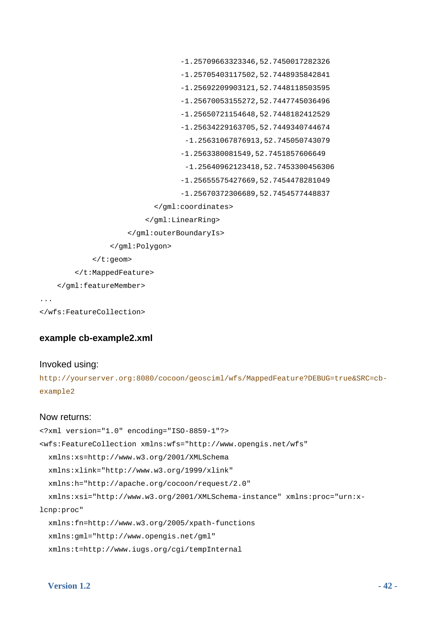```
 -1.25709663323346,52.7450017282326 
                                   -1.25705403117502,52.7448935842841 
                                   -1.25692209903121,52.7448118503595 
                                   -1.25670053155272,52.7447745036496 
                                   -1.25650721154648,52.7448182412529 
                                   -1.25634229163705,52.7449340744674 
                                    -1.25631067876913,52.745050743079 
                                   -1.2563380081549,52.7451857606649 
                                    -1.25640962123418,52.7453300456306 
                                   -1.25655575427669,52.7454478281049 
                                   -1.25670372306689,52.7454577448837 
                             </gml:coordinates> 
                           </gml:LinearRing> 
                      </gml:outerBoundaryIs> 
                  </gml:Polygon> 
             </t:geom> 
         </t:MappedFeature> 
    </gml:featureMember> 
...
```

```
</wfs:FeatureCollection>
```
### **example cb-example2.xml**

#### Invoked using:

http://yourserver.org:8080/cocoon/geosciml/wfs/MappedFeature?DEBUG=true&SRC=cbexample2

#### Now returns:

```
<?xml version="1.0" encoding="ISO-8859-1"?> 
<wfs:FeatureCollection xmlns:wfs="http://www.opengis.net/wfs" 
   xmlns:xs=http://www.w3.org/2001/XMLSchema 
   xmlns:xlink="http://www.w3.org/1999/xlink" 
   xmlns:h="http://apache.org/cocoon/request/2.0" 
   xmlns:xsi="http://www.w3.org/2001/XMLSchema-instance" xmlns:proc="urn:x-
lcnp:proc" 
   xmlns:fn=http://www.w3.org/2005/xpath-functions 
   xmlns:gml="http://www.opengis.net/gml" 
   xmlns:t=http://www.iugs.org/cgi/tempInternal
```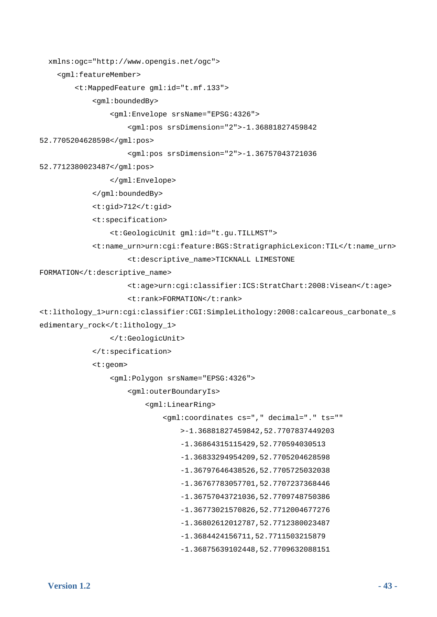```
 xmlns:ogc="http://www.opengis.net/ogc">
```
<gml:featureMember>

<t:MappedFeature gml:id="t.mf.133">

<gml:boundedBy>

<gml:Envelope srsName="EPSG:4326">

```
 <gml:pos srsDimension="2">-1.36881827459842
```
52.7705204628598</gml:pos>

<gml:pos srsDimension="2">-1.36757043721036

52.7712380023487</gml:pos>

</gml:Envelope>

</gml:boundedBy>

<t:gid>712</t:gid>

<t:specification>

<t:GeologicUnit gml:id="t.gu.TILLMST">

<t:name\_urn>urn:cgi:feature:BGS:StratigraphicLexicon:TIL</t:name\_urn>

<t:descriptive\_name>TICKNALL LIMESTONE

FORMATION</t:descriptive\_name>

```
 <t:age>urn:cgi:classifier:ICS:StratChart:2008:Visean</t:age> 
 <t:rank>FORMATION</t:rank>
```

```
<t:lithology_1>urn:cgi:classifier:CGI:SimpleLithology:2008:calcareous_carbonate_s
edimentary rock</t:lithology 1>
```
</t:GeologicUnit>

</t:specification>

<t:geom>

<gml:Polygon srsName="EPSG:4326">

<gml:outerBoundaryIs>

```
 <gml:LinearRing>
```
<gml:coordinates cs="," decimal="." ts=""

```
 >-1.36881827459842,52.7707837449203
```
-1.36864315115429,52.770594030513

- -1.36833294954209,52.7705204628598
- -1.36797646438526,52.7705725032038
- -1.36767783057701,52.7707237368446
- -1.36757043721036,52.7709748750386
- -1.36773021570826,52.7712004677276
- -1.36802612012787,52.7712380023487
- -1.3684424156711,52.7711503215879
- -1.36875639102448,52.7709632088151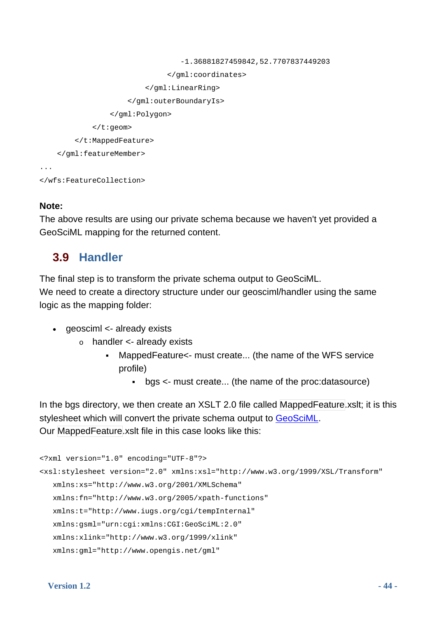```
 -1.36881827459842,52.7707837449203 
                                  </gml:coordinates> 
                            </gml:LinearRing> 
                       </gml:outerBoundaryIs> 
                   </gml:Polygon> 
              </t:geom> 
          </t:MappedFeature> 
     </gml:featureMember> 
... 
</wfs:FeatureCollection>
```
### **Note:**

The above results are using our private schema because we haven't yet provided a GeoSciML mapping for the returned content.

### **3.9 Handler**

<span id="page-43-0"></span>The final step is to transform the private schema output to GeoSciML.

We need to create a directory structure under our geosciml/handler using the same logic as the mapping folder:

- geosciml <- already exists
	- $\circ$  handler  $\lt$  already exists
		- MappedFeature<- must create... (the name of the WFS service profile)
			- bgs <- must create... (the name of the proc:datasource)

In the bgs directory, we then create an XSLT 2.0 file called MappedFeature.xslt; it is this stylesheet which will convert the private schema output to [GeoSciML.](https://www.seegrid.csiro.au/twiki/bin/view/CGIModel/GeoSciML)

Our MappedFeature.xslt file in this case looks like this:

```
<?xml version="1.0" encoding="UTF-8"?> 
<xsl:stylesheet version="2.0" xmlns:xsl="http://www.w3.org/1999/XSL/Transform" 
    xmlns:xs="http://www.w3.org/2001/XMLSchema" 
    xmlns:fn="http://www.w3.org/2005/xpath-functions" 
    xmlns:t="http://www.iugs.org/cgi/tempInternal" 
    xmlns:gsml="urn:cgi:xmlns:CGI:GeoSciML:2.0" 
    xmlns:xlink="http://www.w3.org/1999/xlink" 
    xmlns:gml="http://www.opengis.net/gml"
```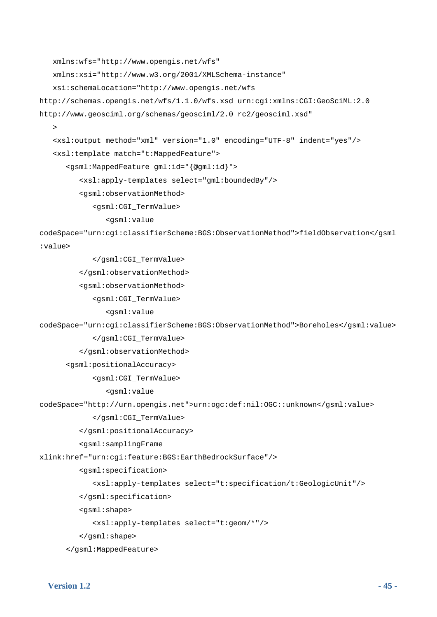```
 xmlns:wfs="http://www.opengis.net/wfs" 
    xmlns:xsi="http://www.w3.org/2001/XMLSchema-instance" 
    xsi:schemaLocation="http://www.opengis.net/wfs 
http://schemas.opengis.net/wfs/1.1.0/wfs.xsd urn:cgi:xmlns:CGI:GeoSciML:2.0 
http://www.geosciml.org/schemas/geosciml/2.0_rc2/geosciml.xsd" 
\rightarrow <xsl:output method="xml" version="1.0" encoding="UTF-8" indent="yes"/> 
    <xsl:template match="t:MappedFeature"> 
       <gsml:MappedFeature gml:id="{@gml:id}"> 
          <xsl:apply-templates select="gml:boundedBy"/> 
          <gsml:observationMethod> 
              <gsml:CGI_TermValue> 
                 <gsml:value 
codeSpace="urn:cgi:classifierScheme:BGS:ObservationMethod">fieldObservation</gsml
:value> 
              </gsml:CGI_TermValue> 
          </gsml:observationMethod> 
          <gsml:observationMethod> 
              <gsml:CGI_TermValue> 
                 <gsml:value 
codeSpace="urn:cgi:classifierScheme:BGS:ObservationMethod">Boreholes</gsml:value> 
              </gsml:CGI_TermValue> 
          </gsml:observationMethod> 
      <gsml:positionalAccuracy> 
              <gsml:CGI_TermValue> 
                 <gsml:value 
codeSpace="http://urn.opengis.net">urn:ogc:def:nil:OGC::unknown</gsml:value> 
              </gsml:CGI_TermValue> 
          </gsml:positionalAccuracy> 
          <gsml:samplingFrame 
xlink:href="urn:cgi:feature:BGS:EarthBedrockSurface"/> 
          <gsml:specification> 
              <xsl:apply-templates select="t:specification/t:GeologicUnit"/> 
          </gsml:specification> 
          <gsml:shape> 
              <xsl:apply-templates select="t:geom/*"/>
```

```
 </gsml:shape>
```

```
 </gsml:MappedFeature>
```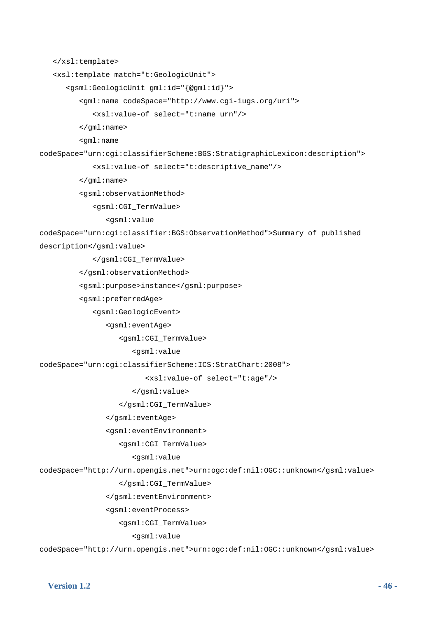```
 </xsl:template> 
    <xsl:template match="t:GeologicUnit"> 
       <gsml:GeologicUnit gml:id="{@gml:id}"> 
          <gml:name codeSpace="http://www.cgi-iugs.org/uri"> 
              <xsl:value-of select="t:name_urn"/> 
          </gml:name> 
          <gml:name 
codeSpace="urn:cgi:classifierScheme:BGS:StratigraphicLexicon:description"> 
              <xsl:value-of select="t:descriptive_name"/> 
          </gml:name> 
          <gsml:observationMethod> 
              <gsml:CGI_TermValue> 
                 <gsml:value 
codeSpace="urn:cgi:classifier:BGS:ObservationMethod">Summary of published 
description</gsml:value> 
              </gsml:CGI_TermValue> 
          </gsml:observationMethod> 
          <gsml:purpose>instance</gsml:purpose> 
          <gsml:preferredAge> 
              <gsml:GeologicEvent> 
                 <gsml:eventAge> 
                    <gsml:CGI_TermValue> 
                       <gsml:value 
codeSpace="urn:cgi:classifierScheme:ICS:StratChart:2008"> 
                           <xsl:value-of select="t:age"/> 
                       </gsml:value> 
                    </gsml:CGI_TermValue> 
                 </gsml:eventAge> 
                 <gsml:eventEnvironment> 
                    <gsml:CGI_TermValue> 
                       <gsml:value 
codeSpace="http://urn.opengis.net">urn:ogc:def:nil:OGC::unknown</gsml:value> 
                    </gsml:CGI_TermValue> 
                 </gsml:eventEnvironment> 
                 <gsml:eventProcess> 
                    <gsml:CGI_TermValue> 
                       <gsml:value 
codeSpace="http://urn.opengis.net">urn:ogc:def:nil:OGC::unknown</gsml:value>
```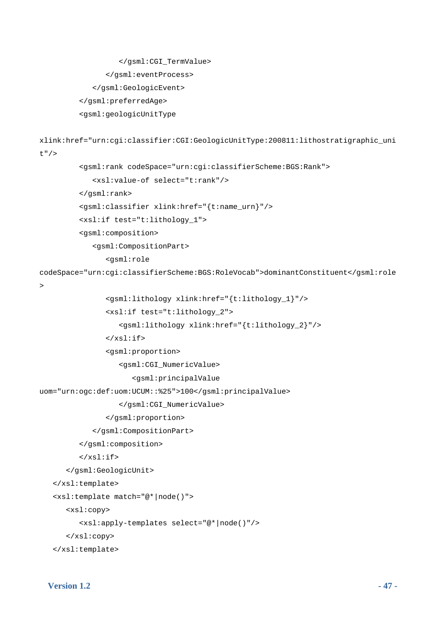```
 </gsml:eventProcess> 
              </gsml:GeologicEvent> 
          </gsml:preferredAge> 
          <gsml:geologicUnitType 
xlink:href="urn:cgi:classifier:CGI:GeologicUnitType:200811:lithostratigraphic_uni
t"/> 
          <gsml:rank codeSpace="urn:cgi:classifierScheme:BGS:Rank"> 
              <xsl:value-of select="t:rank"/> 
          </gsml:rank> 
          <gsml:classifier xlink:href="{t:name_urn}"/> 
          <xsl:if test="t:lithology_1"> 
          <gsml:composition> 
              <gsml:CompositionPart> 
                 <gsml:role 
codeSpace="urn:cgi:classifierScheme:BGS:RoleVocab">dominantConstituent</gsml:role
\rightarrow <gsml:lithology xlink:href="{t:lithology_1}"/> 
                 <xsl:if test="t:lithology_2"> 
                    <gsml:lithology xlink:href="{t:lithology_2}"/> 
                \langle xsl:if>
                 <gsml:proportion> 
                    <gsml:CGI_NumericValue> 
                        <gsml:principalValue 
uom="urn:ogc:def:uom:UCUM::%25">100</gsml:principalValue> 
                    </gsml:CGI_NumericValue> 
                 </gsml:proportion> 
              </gsml:CompositionPart> 
          </gsml:composition> 
         \langle xsl:if>
       </gsml:GeologicUnit> 
    </xsl:template> 
    <xsl:template match="@*|node()"> 
       <xsl:copy> 
          <xsl:apply-templates select="@*|node()"/> 
       </xsl:copy> 
    </xsl:template>
```
</gsml:CGI\_TermValue>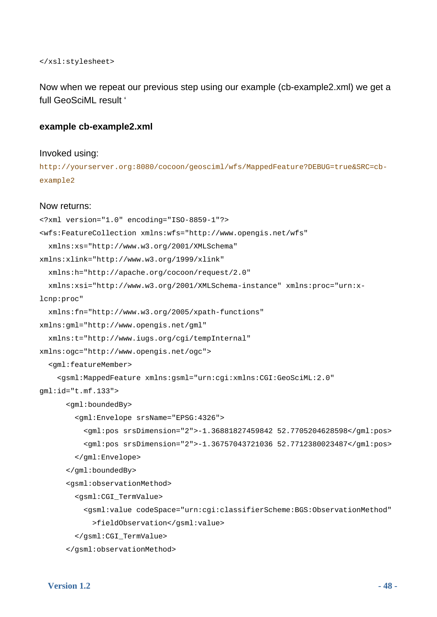</xsl:stylesheet>

Now when we repeat our previous step using our example (cb-example2.xml) we get a full GeoSciML result '

#### **example cb-example2.xml**

#### Invoked using:

http://yourserver.org:8080/cocoon/geosciml/wfs/MappedFeature?DEBUG=true&SRC=cbexample2

#### Now returns:

```
<?xml version="1.0" encoding="ISO-8859-1"?> 
<wfs:FeatureCollection xmlns:wfs="http://www.opengis.net/wfs" 
   xmlns:xs="http://www.w3.org/2001/XMLSchema" 
xmlns:xlink="http://www.w3.org/1999/xlink" 
   xmlns:h="http://apache.org/cocoon/request/2.0" 
   xmlns:xsi="http://www.w3.org/2001/XMLSchema-instance" xmlns:proc="urn:x-
lcnp:proc" 
   xmlns:fn="http://www.w3.org/2005/xpath-functions" 
xmlns:gml="http://www.opengis.net/gml" 
   xmlns:t="http://www.iugs.org/cgi/tempInternal" 
xmlns:ogc="http://www.opengis.net/ogc"> 
   <gml:featureMember> 
     <gsml:MappedFeature xmlns:gsml="urn:cgi:xmlns:CGI:GeoSciML:2.0" 
gml:id="t.mf.133"> 
       <gml:boundedBy> 
         <gml:Envelope srsName="EPSG:4326"> 
           <gml:pos srsDimension="2">-1.36881827459842 52.7705204628598</gml:pos> 
           <gml:pos srsDimension="2">-1.36757043721036 52.7712380023487</gml:pos> 
         </gml:Envelope> 
       </gml:boundedBy> 
       <gsml:observationMethod> 
         <gsml:CGI_TermValue> 
           <gsml:value codeSpace="urn:cgi:classifierScheme:BGS:ObservationMethod" 
             >fieldObservation</gsml:value> 
         </gsml:CGI_TermValue> 
       </gsml:observationMethod>
```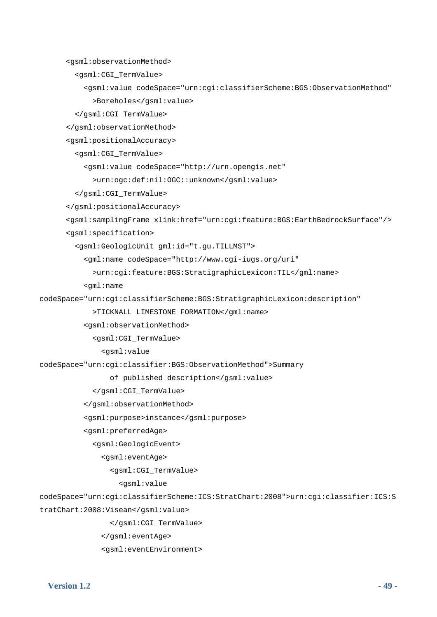<gsml:observationMethod>

<gsml:CGI\_TermValue>

 <gsml:value codeSpace="urn:cgi:classifierScheme:BGS:ObservationMethod" >Boreholes</gsml:value>

</gsml:CGI\_TermValue>

</gsml:observationMethod>

<gsml:positionalAccuracy>

<gsml:CGI\_TermValue>

<gsml:value codeSpace="http://urn.opengis.net"

>urn:ogc:def:nil:OGC::unknown</gsml:value>

</gsml:CGI\_TermValue>

</gsml:positionalAccuracy>

<gsml:samplingFrame xlink:href="urn:cgi:feature:BGS:EarthBedrockSurface"/>

<gsml:specification>

<gsml:GeologicUnit gml:id="t.gu.TILLMST">

<gml:name codeSpace="http://www.cgi-iugs.org/uri"

>urn:cgi:feature:BGS:StratigraphicLexicon:TIL</gml:name>

```
 <gml:name
```
codeSpace="urn:cgi:classifierScheme:BGS:StratigraphicLexicon:description"

>TICKNALL LIMESTONE FORMATION</gml:name>

<gsml:observationMethod>

<gsml:CGI\_TermValue>

<gsml:value

codeSpace="urn:cgi:classifier:BGS:ObservationMethod">Summary

of published description</gsml:value>

</gsml:CGI\_TermValue>

</gsml:observationMethod>

<gsml:purpose>instance</gsml:purpose>

<gsml:preferredAge>

<gsml:GeologicEvent>

<gsml:eventAge>

<gsml:CGI\_TermValue>

<gsml:value

codeSpace="urn:cgi:classifierScheme:ICS:StratChart:2008">urn:cgi:classifier:ICS:S tratChart:2008:Visean</gsml:value>

</gsml:CGI\_TermValue>

</gsml:eventAge>

<gsml:eventEnvironment>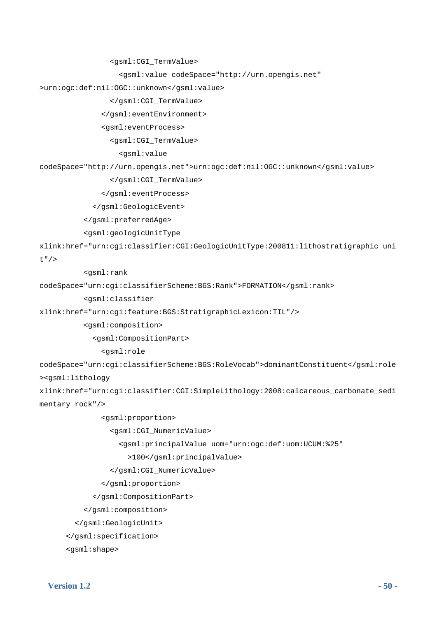<gsml:CGI\_TermValue>

<gsml:value codeSpace="http://urn.opengis.net"

>urn:ogc:def:nil:OGC::unknown</gsml:value>

</gsml:CGI\_TermValue>

</gsml:eventEnvironment>

<gsml:eventProcess>

<gsml:CGI\_TermValue>

<gsml:value

codeSpace="http://urn.opengis.net">urn:ogc:def:nil:OGC::unknown</gsml:value>

</gsml:CGI\_TermValue>

</gsml:eventProcess>

</gsml:GeologicEvent>

</gsml:preferredAge>

<gsml:geologicUnitType

xlink:href="urn:cgi:classifier:CGI:GeologicUnitType:200811:lithostratigraphic\_uni

t"/>

<gsml:rank

codeSpace="urn:cgi:classifierScheme:BGS:Rank">FORMATION</gsml:rank>

<gsml:classifier

xlink:href="urn:cgi:feature:BGS:StratigraphicLexicon:TIL"/>

<gsml:composition>

<gsml:CompositionPart>

<gsml:role

codeSpace="urn:cgi:classifierScheme:BGS:RoleVocab">dominantConstituent</gsml:role ><gsml:lithology

xlink:href="urn:cgi:classifier:CGI:SimpleLithology:2008:calcareous\_carbonate\_sedi mentary\_rock"/>

<gsml:proportion>

<gsml:CGI\_NumericValue>

<gsml:principalValue uom="urn:ogc:def:uom:UCUM:%25"

```
 >100</gsml:principalValue>
```
</gsml:CGI\_NumericValue>

</gsml:proportion>

</gsml:CompositionPart>

</gsml:composition>

</gsml:GeologicUnit>

</gsml:specification>

<gsml:shape>